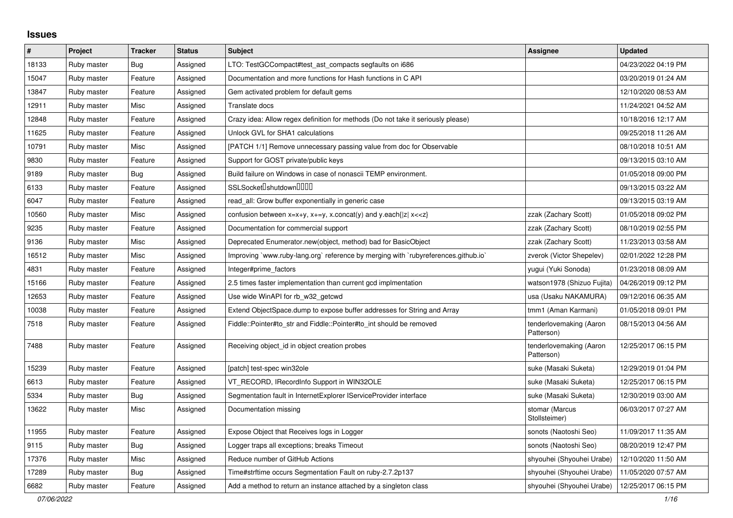## **Issues**

| #     | Project     | <b>Tracker</b> | <b>Status</b> | <b>Subject</b>                                                                     | <b>Assignee</b>                       | <b>Updated</b>      |
|-------|-------------|----------------|---------------|------------------------------------------------------------------------------------|---------------------------------------|---------------------|
| 18133 | Ruby master | <b>Bug</b>     | Assigned      | LTO: TestGCCompact#test_ast_compacts segfaults on i686                             |                                       | 04/23/2022 04:19 PM |
| 15047 | Ruby master | Feature        | Assigned      | Documentation and more functions for Hash functions in C API                       |                                       | 03/20/2019 01:24 AM |
| 13847 | Ruby master | Feature        | Assigned      | Gem activated problem for default gems                                             |                                       | 12/10/2020 08:53 AM |
| 12911 | Ruby master | Misc           | Assigned      | Translate docs                                                                     |                                       | 11/24/2021 04:52 AM |
| 12848 | Ruby master | Feature        | Assigned      | Crazy idea: Allow regex definition for methods (Do not take it seriously please)   |                                       | 10/18/2016 12:17 AM |
| 11625 | Ruby master | Feature        | Assigned      | Unlock GVL for SHA1 calculations                                                   |                                       | 09/25/2018 11:26 AM |
| 10791 | Ruby master | Misc           | Assigned      | [PATCH 1/1] Remove unnecessary passing value from doc for Observable               |                                       | 08/10/2018 10:51 AM |
| 9830  | Ruby master | Feature        | Assigned      | Support for GOST private/public keys                                               |                                       | 09/13/2015 03:10 AM |
| 9189  | Ruby master | <b>Bug</b>     | Assigned      | Build failure on Windows in case of nonascii TEMP environment.                     |                                       | 01/05/2018 09:00 PM |
| 6133  | Ruby master | Feature        | Assigned      | SSLSocketlshutdownllllll                                                           |                                       | 09/13/2015 03:22 AM |
| 6047  | Ruby master | Feature        | Assigned      | read_all: Grow buffer exponentially in generic case                                |                                       | 09/13/2015 03:19 AM |
| 10560 | Ruby master | Misc           | Assigned      | confusion between $x=x+y$ , $x+=y$ , x.concat(y) and y.each{ z  $x<}$              | zzak (Zachary Scott)                  | 01/05/2018 09:02 PM |
| 9235  | Ruby master | Feature        | Assigned      | Documentation for commercial support                                               | zzak (Zachary Scott)                  | 08/10/2019 02:55 PM |
| 9136  | Ruby master | Misc           | Assigned      | Deprecated Enumerator.new(object, method) bad for BasicObject                      | zzak (Zachary Scott)                  | 11/23/2013 03:58 AM |
| 16512 | Ruby master | Misc           | Assigned      | Improving `www.ruby-lang.org` reference by merging with `rubyreferences.github.io` | zverok (Victor Shepelev)              | 02/01/2022 12:28 PM |
| 4831  | Ruby master | Feature        | Assigned      | Integer#prime_factors                                                              | yugui (Yuki Sonoda)                   | 01/23/2018 08:09 AM |
| 15166 | Ruby master | Feature        | Assigned      | 2.5 times faster implementation than current gcd implmentation                     | watson1978 (Shizuo Fujita)            | 04/26/2019 09:12 PM |
| 12653 | Ruby master | Feature        | Assigned      | Use wide WinAPI for rb w32 getcwd                                                  | usa (Usaku NAKAMURA)                  | 09/12/2016 06:35 AM |
| 10038 | Ruby master | Feature        | Assigned      | Extend ObjectSpace.dump to expose buffer addresses for String and Array            | tmm1 (Aman Karmani)                   | 01/05/2018 09:01 PM |
| 7518  | Ruby master | Feature        | Assigned      | Fiddle::Pointer#to str and Fiddle::Pointer#to int should be removed                | tenderlovemaking (Aaron<br>Patterson) | 08/15/2013 04:56 AM |
| 7488  | Ruby master | Feature        | Assigned      | Receiving object_id in object creation probes                                      | tenderlovemaking (Aaron<br>Patterson) | 12/25/2017 06:15 PM |
| 15239 | Ruby master | Feature        | Assigned      | [patch] test-spec win32ole                                                         | suke (Masaki Suketa)                  | 12/29/2019 01:04 PM |
| 6613  | Ruby master | Feature        | Assigned      | VT_RECORD, IRecordInfo Support in WIN32OLE                                         | suke (Masaki Suketa)                  | 12/25/2017 06:15 PM |
| 5334  | Ruby master | <b>Bug</b>     | Assigned      | Segmentation fault in InternetExplorer IServiceProvider interface                  | suke (Masaki Suketa)                  | 12/30/2019 03:00 AM |
| 13622 | Ruby master | Misc           | Assigned      | Documentation missing                                                              | stomar (Marcus<br>Stollsteimer)       | 06/03/2017 07:27 AM |
| 11955 | Ruby master | Feature        | Assigned      | Expose Object that Receives logs in Logger                                         | sonots (Naotoshi Seo)                 | 11/09/2017 11:35 AM |
| 9115  | Ruby master | Bug            | Assigned      | Logger traps all exceptions; breaks Timeout                                        | sonots (Naotoshi Seo)                 | 08/20/2019 12:47 PM |
| 17376 | Ruby master | Misc           | Assigned      | Reduce number of GitHub Actions                                                    | shyouhei (Shyouhei Urabe)             | 12/10/2020 11:50 AM |
| 17289 | Ruby master | Bug            | Assigned      | Time#strftime occurs Segmentation Fault on ruby-2.7.2p137                          | shyouhei (Shyouhei Urabe)             | 11/05/2020 07:57 AM |
| 6682  | Ruby master | Feature        | Assigned      | Add a method to return an instance attached by a singleton class                   | shyouhei (Shyouhei Urabe)             | 12/25/2017 06:15 PM |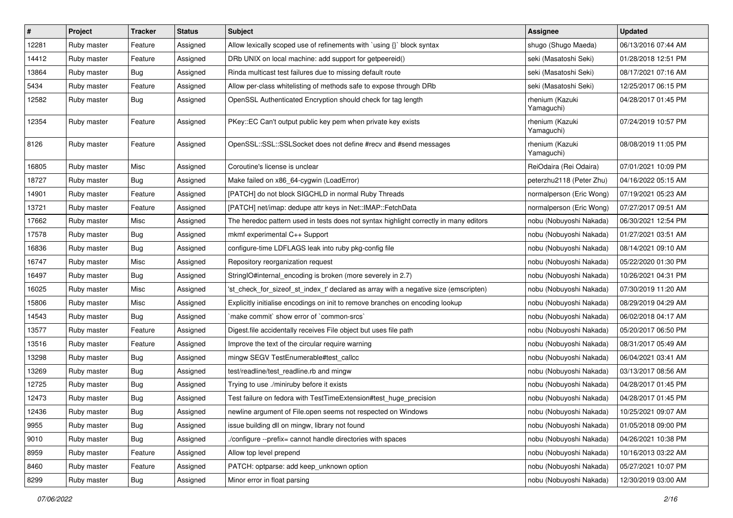| $\vert$ # | Project     | <b>Tracker</b> | <b>Status</b> | Subject                                                                               | <b>Assignee</b>               | <b>Updated</b>      |
|-----------|-------------|----------------|---------------|---------------------------------------------------------------------------------------|-------------------------------|---------------------|
| 12281     | Ruby master | Feature        | Assigned      | Allow lexically scoped use of refinements with `using {}` block syntax                | shugo (Shugo Maeda)           | 06/13/2016 07:44 AM |
| 14412     | Ruby master | Feature        | Assigned      | DRb UNIX on local machine: add support for getpeereid()                               | seki (Masatoshi Seki)         | 01/28/2018 12:51 PM |
| 13864     | Ruby master | <b>Bug</b>     | Assigned      | Rinda multicast test failures due to missing default route                            | seki (Masatoshi Seki)         | 08/17/2021 07:16 AM |
| 5434      | Ruby master | Feature        | Assigned      | Allow per-class whitelisting of methods safe to expose through DRb                    | seki (Masatoshi Seki)         | 12/25/2017 06:15 PM |
| 12582     | Ruby master | <b>Bug</b>     | Assigned      | OpenSSL Authenticated Encryption should check for tag length                          | rhenium (Kazuki<br>Yamaguchi) | 04/28/2017 01:45 PM |
| 12354     | Ruby master | Feature        | Assigned      | PKey::EC Can't output public key pem when private key exists                          | rhenium (Kazuki<br>Yamaguchi) | 07/24/2019 10:57 PM |
| 8126      | Ruby master | Feature        | Assigned      | OpenSSL::SSL:SSLSocket does not define #recv and #send messages                       | rhenium (Kazuki<br>Yamaguchi) | 08/08/2019 11:05 PM |
| 16805     | Ruby master | Misc           | Assigned      | Coroutine's license is unclear                                                        | ReiOdaira (Rei Odaira)        | 07/01/2021 10:09 PM |
| 18727     | Ruby master | Bug            | Assigned      | Make failed on x86_64-cygwin (LoadError)                                              | peterzhu2118 (Peter Zhu)      | 04/16/2022 05:15 AM |
| 14901     | Ruby master | Feature        | Assigned      | [PATCH] do not block SIGCHLD in normal Ruby Threads                                   | normalperson (Eric Wong)      | 07/19/2021 05:23 AM |
| 13721     | Ruby master | Feature        | Assigned      | [PATCH] net/imap: dedupe attr keys in Net::IMAP::FetchData                            | normalperson (Eric Wong)      | 07/27/2017 09:51 AM |
| 17662     | Ruby master | Misc           | Assigned      | The heredoc pattern used in tests does not syntax highlight correctly in many editors | nobu (Nobuyoshi Nakada)       | 06/30/2021 12:54 PM |
| 17578     | Ruby master | <b>Bug</b>     | Assigned      | mkmf experimental C++ Support                                                         | nobu (Nobuyoshi Nakada)       | 01/27/2021 03:51 AM |
| 16836     | Ruby master | <b>Bug</b>     | Assigned      | configure-time LDFLAGS leak into ruby pkg-config file                                 | nobu (Nobuyoshi Nakada)       | 08/14/2021 09:10 AM |
| 16747     | Ruby master | Misc           | Assigned      | Repository reorganization request                                                     | nobu (Nobuyoshi Nakada)       | 05/22/2020 01:30 PM |
| 16497     | Ruby master | <b>Bug</b>     | Assigned      | StringIO#internal_encoding is broken (more severely in 2.7)                           | nobu (Nobuyoshi Nakada)       | 10/26/2021 04:31 PM |
| 16025     | Ruby master | Misc           | Assigned      | 'st_check_for_sizeof_st_index_t' declared as array with a negative size (emscripten)  | nobu (Nobuyoshi Nakada)       | 07/30/2019 11:20 AM |
| 15806     | Ruby master | Misc           | Assigned      | Explicitly initialise encodings on init to remove branches on encoding lookup         | nobu (Nobuyoshi Nakada)       | 08/29/2019 04:29 AM |
| 14543     | Ruby master | <b>Bug</b>     | Assigned      | 'make commit' show error of 'common-srcs'                                             | nobu (Nobuyoshi Nakada)       | 06/02/2018 04:17 AM |
| 13577     | Ruby master | Feature        | Assigned      | Digest file accidentally receives File object but uses file path                      | nobu (Nobuyoshi Nakada)       | 05/20/2017 06:50 PM |
| 13516     | Ruby master | Feature        | Assigned      | Improve the text of the circular require warning                                      | nobu (Nobuyoshi Nakada)       | 08/31/2017 05:49 AM |
| 13298     | Ruby master | Bug            | Assigned      | mingw SEGV TestEnumerable#test_callcc                                                 | nobu (Nobuyoshi Nakada)       | 06/04/2021 03:41 AM |
| 13269     | Ruby master | Bug            | Assigned      | test/readline/test_readline.rb and mingw                                              | nobu (Nobuyoshi Nakada)       | 03/13/2017 08:56 AM |
| 12725     | Ruby master | Bug            | Assigned      | Trying to use ./miniruby before it exists                                             | nobu (Nobuyoshi Nakada)       | 04/28/2017 01:45 PM |
| 12473     | Ruby master | Bug            | Assigned      | Test failure on fedora with TestTimeExtension#test_huge_precision                     | nobu (Nobuyoshi Nakada)       | 04/28/2017 01:45 PM |
| 12436     | Ruby master | Bug            | Assigned      | newline argument of File.open seems not respected on Windows                          | nobu (Nobuyoshi Nakada)       | 10/25/2021 09:07 AM |
| 9955      | Ruby master | <b>Bug</b>     | Assigned      | issue building dll on mingw, library not found                                        | nobu (Nobuyoshi Nakada)       | 01/05/2018 09:00 PM |
| 9010      | Ruby master | Bug            | Assigned      | /configure --prefix= cannot handle directories with spaces                            | nobu (Nobuyoshi Nakada)       | 04/26/2021 10:38 PM |
| 8959      | Ruby master | Feature        | Assigned      | Allow top level prepend                                                               | nobu (Nobuyoshi Nakada)       | 10/16/2013 03:22 AM |
| 8460      | Ruby master | Feature        | Assigned      | PATCH: optparse: add keep_unknown option                                              | nobu (Nobuyoshi Nakada)       | 05/27/2021 10:07 PM |
| 8299      | Ruby master | Bug            | Assigned      | Minor error in float parsing                                                          | nobu (Nobuyoshi Nakada)       | 12/30/2019 03:00 AM |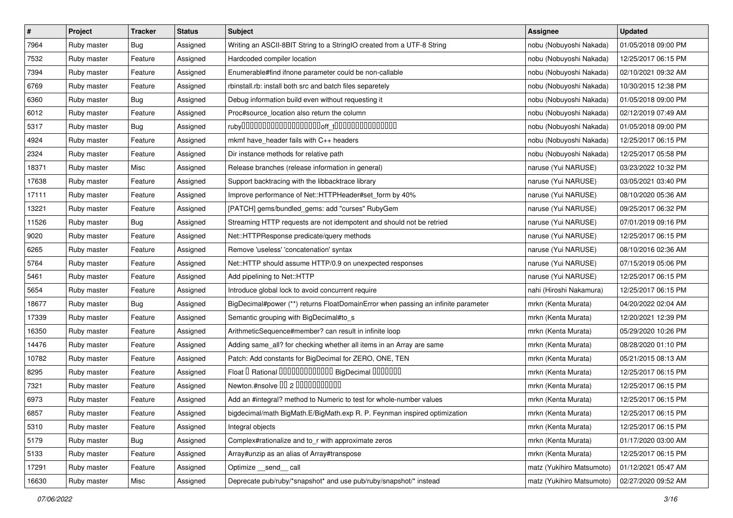| $\sharp$ | Project     | <b>Tracker</b> | <b>Status</b> | Subject                                                                           | <b>Assignee</b>           | <b>Updated</b>      |
|----------|-------------|----------------|---------------|-----------------------------------------------------------------------------------|---------------------------|---------------------|
| 7964     | Ruby master | Bug            | Assigned      | Writing an ASCII-8BIT String to a StringIO created from a UTF-8 String            | nobu (Nobuyoshi Nakada)   | 01/05/2018 09:00 PM |
| 7532     | Ruby master | Feature        | Assigned      | Hardcoded compiler location                                                       | nobu (Nobuyoshi Nakada)   | 12/25/2017 06:15 PM |
| 7394     | Ruby master | Feature        | Assigned      | Enumerable#find ifnone parameter could be non-callable                            | nobu (Nobuyoshi Nakada)   | 02/10/2021 09:32 AM |
| 6769     | Ruby master | Feature        | Assigned      | rbinstall.rb: install both src and batch files separetely                         | nobu (Nobuyoshi Nakada)   | 10/30/2015 12:38 PM |
| 6360     | Ruby master | <b>Bug</b>     | Assigned      | Debug information build even without requesting it                                | nobu (Nobuyoshi Nakada)   | 01/05/2018 09:00 PM |
| 6012     | Ruby master | Feature        | Assigned      | Proc#source_location also return the column                                       | nobu (Nobuyoshi Nakada)   | 02/12/2019 07:49 AM |
| 5317     | Ruby master | Bug            | Assigned      |                                                                                   | nobu (Nobuyoshi Nakada)   | 01/05/2018 09:00 PM |
| 4924     | Ruby master | Feature        | Assigned      | mkmf have_header fails with C++ headers                                           | nobu (Nobuyoshi Nakada)   | 12/25/2017 06:15 PM |
| 2324     | Ruby master | Feature        | Assigned      | Dir instance methods for relative path                                            | nobu (Nobuyoshi Nakada)   | 12/25/2017 05:58 PM |
| 18371    | Ruby master | Misc           | Assigned      | Release branches (release information in general)                                 | naruse (Yui NARUSE)       | 03/23/2022 10:32 PM |
| 17638    | Ruby master | Feature        | Assigned      | Support backtracing with the libbacktrace library                                 | naruse (Yui NARUSE)       | 03/05/2021 03:40 PM |
| 17111    | Ruby master | Feature        | Assigned      | Improve performance of Net::HTTPHeader#set_form by 40%                            | naruse (Yui NARUSE)       | 08/10/2020 05:36 AM |
| 13221    | Ruby master | Feature        | Assigned      | [PATCH] gems/bundled_gems: add "curses" RubyGem                                   | naruse (Yui NARUSE)       | 09/25/2017 06:32 PM |
| 11526    | Ruby master | Bug            | Assigned      | Streaming HTTP requests are not idempotent and should not be retried              | naruse (Yui NARUSE)       | 07/01/2019 09:16 PM |
| 9020     | Ruby master | Feature        | Assigned      | Net::HTTPResponse predicate/query methods                                         | naruse (Yui NARUSE)       | 12/25/2017 06:15 PM |
| 6265     | Ruby master | Feature        | Assigned      | Remove 'useless' 'concatenation' syntax                                           | naruse (Yui NARUSE)       | 08/10/2016 02:36 AM |
| 5764     | Ruby master | Feature        | Assigned      | Net::HTTP should assume HTTP/0.9 on unexpected responses                          | naruse (Yui NARUSE)       | 07/15/2019 05:06 PM |
| 5461     | Ruby master | Feature        | Assigned      | Add pipelining to Net::HTTP                                                       | naruse (Yui NARUSE)       | 12/25/2017 06:15 PM |
| 5654     | Ruby master | Feature        | Assigned      | Introduce global lock to avoid concurrent require                                 | nahi (Hiroshi Nakamura)   | 12/25/2017 06:15 PM |
| 18677    | Ruby master | Bug            | Assigned      | BigDecimal#power (**) returns FloatDomainError when passing an infinite parameter | mrkn (Kenta Murata)       | 04/20/2022 02:04 AM |
| 17339    | Ruby master | Feature        | Assigned      | Semantic grouping with BigDecimal#to_s                                            | mrkn (Kenta Murata)       | 12/20/2021 12:39 PM |
| 16350    | Ruby master | Feature        | Assigned      | ArithmeticSequence#member? can result in infinite loop                            | mrkn (Kenta Murata)       | 05/29/2020 10:26 PM |
| 14476    | Ruby master | Feature        | Assigned      | Adding same_all? for checking whether all items in an Array are same              | mrkn (Kenta Murata)       | 08/28/2020 01:10 PM |
| 10782    | Ruby master | Feature        | Assigned      | Patch: Add constants for BigDecimal for ZERO, ONE, TEN                            | mrkn (Kenta Murata)       | 05/21/2015 08:13 AM |
| 8295     | Ruby master | Feature        | Assigned      | Float I Rational 0000000000000 BigDecimal 0000000                                 | mrkn (Kenta Murata)       | 12/25/2017 06:15 PM |
| 7321     | Ruby master | Feature        | Assigned      | Newton.#nsolve 00 2 0000000000                                                    | mrkn (Kenta Murata)       | 12/25/2017 06:15 PM |
| 6973     | Ruby master | Feature        | Assigned      | Add an #integral? method to Numeric to test for whole-number values               | mrkn (Kenta Murata)       | 12/25/2017 06:15 PM |
| 6857     | Ruby master | Feature        | Assigned      | bigdecimal/math BigMath.E/BigMath.exp R. P. Feynman inspired optimization         | mrkn (Kenta Murata)       | 12/25/2017 06:15 PM |
| 5310     | Ruby master | Feature        | Assigned      | Integral objects                                                                  | mrkn (Kenta Murata)       | 12/25/2017 06:15 PM |
| 5179     | Ruby master | <b>Bug</b>     | Assigned      | Complex#rationalize and to_r with approximate zeros                               | mrkn (Kenta Murata)       | 01/17/2020 03:00 AM |
| 5133     | Ruby master | Feature        | Assigned      | Array#unzip as an alias of Array#transpose                                        | mrkn (Kenta Murata)       | 12/25/2017 06:15 PM |
| 17291    | Ruby master | Feature        | Assigned      | Optimize send call                                                                | matz (Yukihiro Matsumoto) | 01/12/2021 05:47 AM |
| 16630    | Ruby master | Misc           | Assigned      | Deprecate pub/ruby/*snapshot* and use pub/ruby/snapshot/* instead                 | matz (Yukihiro Matsumoto) | 02/27/2020 09:52 AM |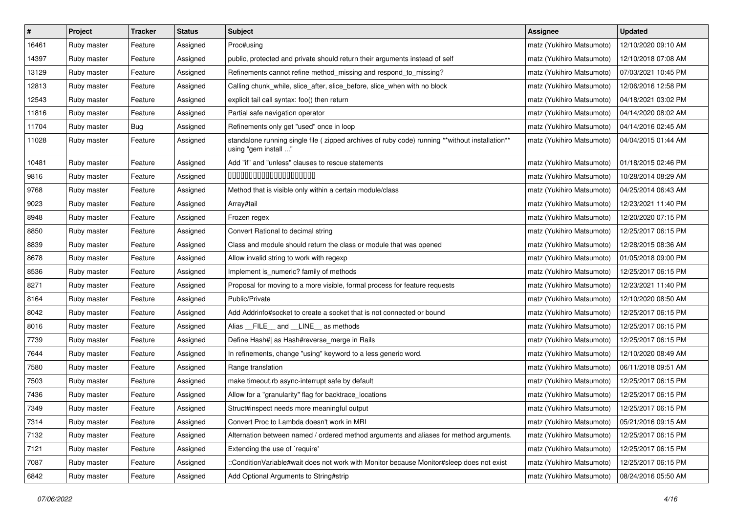| $\vert$ # | Project     | <b>Tracker</b> | <b>Status</b> | <b>Subject</b>                                                                                                          | Assignee                  | <b>Updated</b>      |
|-----------|-------------|----------------|---------------|-------------------------------------------------------------------------------------------------------------------------|---------------------------|---------------------|
| 16461     | Ruby master | Feature        | Assigned      | Proc#using                                                                                                              | matz (Yukihiro Matsumoto) | 12/10/2020 09:10 AM |
| 14397     | Ruby master | Feature        | Assigned      | public, protected and private should return their arguments instead of self                                             | matz (Yukihiro Matsumoto) | 12/10/2018 07:08 AM |
| 13129     | Ruby master | Feature        | Assigned      | Refinements cannot refine method_missing and respond_to_missing?                                                        | matz (Yukihiro Matsumoto) | 07/03/2021 10:45 PM |
| 12813     | Ruby master | Feature        | Assigned      | Calling chunk_while, slice_after, slice_before, slice_when with no block                                                | matz (Yukihiro Matsumoto) | 12/06/2016 12:58 PM |
| 12543     | Ruby master | Feature        | Assigned      | explicit tail call syntax: foo() then return                                                                            | matz (Yukihiro Matsumoto) | 04/18/2021 03:02 PM |
| 11816     | Ruby master | Feature        | Assigned      | Partial safe navigation operator                                                                                        | matz (Yukihiro Matsumoto) | 04/14/2020 08:02 AM |
| 11704     | Ruby master | <b>Bug</b>     | Assigned      | Refinements only get "used" once in loop                                                                                | matz (Yukihiro Matsumoto) | 04/14/2016 02:45 AM |
| 11028     | Ruby master | Feature        | Assigned      | standalone running single file ( zipped archives of ruby code) running **without installation**<br>using "gem install " | matz (Yukihiro Matsumoto) | 04/04/2015 01:44 AM |
| 10481     | Ruby master | Feature        | Assigned      | Add "if" and "unless" clauses to rescue statements                                                                      | matz (Yukihiro Matsumoto) | 01/18/2015 02:46 PM |
| 9816      | Ruby master | Feature        | Assigned      | 00000000000000000000                                                                                                    | matz (Yukihiro Matsumoto) | 10/28/2014 08:29 AM |
| 9768      | Ruby master | Feature        | Assigned      | Method that is visible only within a certain module/class                                                               | matz (Yukihiro Matsumoto) | 04/25/2014 06:43 AM |
| 9023      | Ruby master | Feature        | Assigned      | Array#tail                                                                                                              | matz (Yukihiro Matsumoto) | 12/23/2021 11:40 PM |
| 8948      | Ruby master | Feature        | Assigned      | Frozen regex                                                                                                            | matz (Yukihiro Matsumoto) | 12/20/2020 07:15 PM |
| 8850      | Ruby master | Feature        | Assigned      | Convert Rational to decimal string                                                                                      | matz (Yukihiro Matsumoto) | 12/25/2017 06:15 PM |
| 8839      | Ruby master | Feature        | Assigned      | Class and module should return the class or module that was opened                                                      | matz (Yukihiro Matsumoto) | 12/28/2015 08:36 AM |
| 8678      | Ruby master | Feature        | Assigned      | Allow invalid string to work with regexp                                                                                | matz (Yukihiro Matsumoto) | 01/05/2018 09:00 PM |
| 8536      | Ruby master | Feature        | Assigned      | Implement is_numeric? family of methods                                                                                 | matz (Yukihiro Matsumoto) | 12/25/2017 06:15 PM |
| 8271      | Ruby master | Feature        | Assigned      | Proposal for moving to a more visible, formal process for feature requests                                              | matz (Yukihiro Matsumoto) | 12/23/2021 11:40 PM |
| 8164      | Ruby master | Feature        | Assigned      | Public/Private                                                                                                          | matz (Yukihiro Matsumoto) | 12/10/2020 08:50 AM |
| 8042      | Ruby master | Feature        | Assigned      | Add Addrinfo#socket to create a socket that is not connected or bound                                                   | matz (Yukihiro Matsumoto) | 12/25/2017 06:15 PM |
| 8016      | Ruby master | Feature        | Assigned      | Alias FILE and LINE as methods                                                                                          | matz (Yukihiro Matsumoto) | 12/25/2017 06:15 PM |
| 7739      | Ruby master | Feature        | Assigned      | Define Hash#  as Hash#reverse_merge in Rails                                                                            | matz (Yukihiro Matsumoto) | 12/25/2017 06:15 PM |
| 7644      | Ruby master | Feature        | Assigned      | In refinements, change "using" keyword to a less generic word.                                                          | matz (Yukihiro Matsumoto) | 12/10/2020 08:49 AM |
| 7580      | Ruby master | Feature        | Assigned      | Range translation                                                                                                       | matz (Yukihiro Matsumoto) | 06/11/2018 09:51 AM |
| 7503      | Ruby master | Feature        | Assigned      | make timeout.rb async-interrupt safe by default                                                                         | matz (Yukihiro Matsumoto) | 12/25/2017 06:15 PM |
| 7436      | Ruby master | Feature        | Assigned      | Allow for a "granularity" flag for backtrace_locations                                                                  | matz (Yukihiro Matsumoto) | 12/25/2017 06:15 PM |
| 7349      | Ruby master | Feature        | Assigned      | Struct#inspect needs more meaningful output                                                                             | matz (Yukihiro Matsumoto) | 12/25/2017 06:15 PM |
| 7314      | Ruby master | Feature        | Assigned      | Convert Proc to Lambda doesn't work in MRI                                                                              | matz (Yukihiro Matsumoto) | 05/21/2016 09:15 AM |
| 7132      | Ruby master | Feature        | Assigned      | Alternation between named / ordered method arguments and aliases for method arguments.                                  | matz (Yukihiro Matsumoto) | 12/25/2017 06:15 PM |
| 7121      | Ruby master | Feature        | Assigned      | Extending the use of `require'                                                                                          | matz (Yukihiro Matsumoto) | 12/25/2017 06:15 PM |
| 7087      | Ruby master | Feature        | Assigned      | ::ConditionVariable#wait does not work with Monitor because Monitor#sleep does not exist                                | matz (Yukihiro Matsumoto) | 12/25/2017 06:15 PM |
| 6842      | Ruby master | Feature        | Assigned      | Add Optional Arguments to String#strip                                                                                  | matz (Yukihiro Matsumoto) | 08/24/2016 05:50 AM |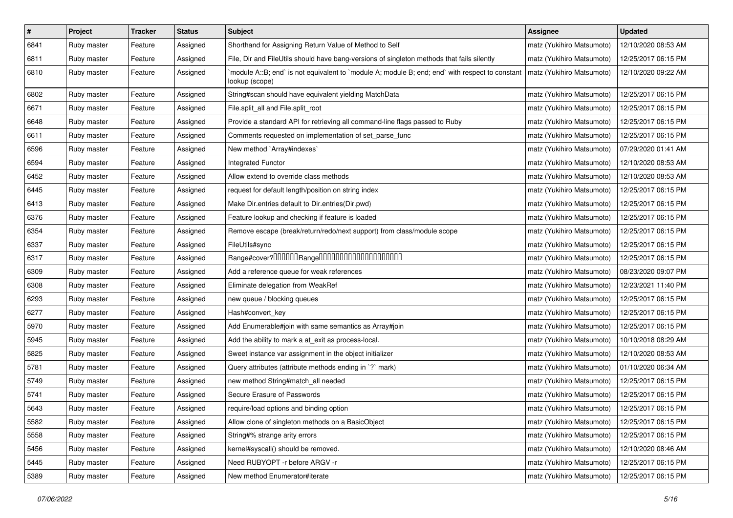| $\sharp$ | Project     | Tracker | <b>Status</b> | <b>Subject</b>                                                                                                   | <b>Assignee</b>           | <b>Updated</b>      |
|----------|-------------|---------|---------------|------------------------------------------------------------------------------------------------------------------|---------------------------|---------------------|
| 6841     | Ruby master | Feature | Assigned      | Shorthand for Assigning Return Value of Method to Self                                                           | matz (Yukihiro Matsumoto) | 12/10/2020 08:53 AM |
| 6811     | Ruby master | Feature | Assigned      | File, Dir and FileUtils should have bang-versions of singleton methods that fails silently                       | matz (Yukihiro Matsumoto) | 12/25/2017 06:15 PM |
| 6810     | Ruby master | Feature | Assigned      | module A::B; end` is not equivalent to `module A; module B; end; end` with respect to constant<br>lookup (scope) | matz (Yukihiro Matsumoto) | 12/10/2020 09:22 AM |
| 6802     | Ruby master | Feature | Assigned      | String#scan should have equivalent yielding MatchData                                                            | matz (Yukihiro Matsumoto) | 12/25/2017 06:15 PM |
| 6671     | Ruby master | Feature | Assigned      | File.split_all and File.split_root                                                                               | matz (Yukihiro Matsumoto) | 12/25/2017 06:15 PM |
| 6648     | Ruby master | Feature | Assigned      | Provide a standard API for retrieving all command-line flags passed to Ruby                                      | matz (Yukihiro Matsumoto) | 12/25/2017 06:15 PM |
| 6611     | Ruby master | Feature | Assigned      | Comments requested on implementation of set_parse_func                                                           | matz (Yukihiro Matsumoto) | 12/25/2017 06:15 PM |
| 6596     | Ruby master | Feature | Assigned      | New method `Array#indexes`                                                                                       | matz (Yukihiro Matsumoto) | 07/29/2020 01:41 AM |
| 6594     | Ruby master | Feature | Assigned      | Integrated Functor                                                                                               | matz (Yukihiro Matsumoto) | 12/10/2020 08:53 AM |
| 6452     | Ruby master | Feature | Assigned      | Allow extend to override class methods                                                                           | matz (Yukihiro Matsumoto) | 12/10/2020 08:53 AM |
| 6445     | Ruby master | Feature | Assigned      | request for default length/position on string index                                                              | matz (Yukihiro Matsumoto) | 12/25/2017 06:15 PM |
| 6413     | Ruby master | Feature | Assigned      | Make Dir.entries default to Dir.entries(Dir.pwd)                                                                 | matz (Yukihiro Matsumoto) | 12/25/2017 06:15 PM |
| 6376     | Ruby master | Feature | Assigned      | Feature lookup and checking if feature is loaded                                                                 | matz (Yukihiro Matsumoto) | 12/25/2017 06:15 PM |
| 6354     | Ruby master | Feature | Assigned      | Remove escape (break/return/redo/next support) from class/module scope                                           | matz (Yukihiro Matsumoto) | 12/25/2017 06:15 PM |
| 6337     | Ruby master | Feature | Assigned      | FileUtils#sync                                                                                                   | matz (Yukihiro Matsumoto) | 12/25/2017 06:15 PM |
| 6317     | Ruby master | Feature | Assigned      | Range#cover?000000Range00000000000000000000                                                                      | matz (Yukihiro Matsumoto) | 12/25/2017 06:15 PM |
| 6309     | Ruby master | Feature | Assigned      | Add a reference queue for weak references                                                                        | matz (Yukihiro Matsumoto) | 08/23/2020 09:07 PM |
| 6308     | Ruby master | Feature | Assigned      | Eliminate delegation from WeakRef                                                                                | matz (Yukihiro Matsumoto) | 12/23/2021 11:40 PM |
| 6293     | Ruby master | Feature | Assigned      | new queue / blocking queues                                                                                      | matz (Yukihiro Matsumoto) | 12/25/2017 06:15 PM |
| 6277     | Ruby master | Feature | Assigned      | Hash#convert key                                                                                                 | matz (Yukihiro Matsumoto) | 12/25/2017 06:15 PM |
| 5970     | Ruby master | Feature | Assigned      | Add Enumerable#join with same semantics as Array#join                                                            | matz (Yukihiro Matsumoto) | 12/25/2017 06:15 PM |
| 5945     | Ruby master | Feature | Assigned      | Add the ability to mark a at_exit as process-local.                                                              | matz (Yukihiro Matsumoto) | 10/10/2018 08:29 AM |
| 5825     | Ruby master | Feature | Assigned      | Sweet instance var assignment in the object initializer                                                          | matz (Yukihiro Matsumoto) | 12/10/2020 08:53 AM |
| 5781     | Ruby master | Feature | Assigned      | Query attributes (attribute methods ending in `?` mark)                                                          | matz (Yukihiro Matsumoto) | 01/10/2020 06:34 AM |
| 5749     | Ruby master | Feature | Assigned      | new method String#match_all needed                                                                               | matz (Yukihiro Matsumoto) | 12/25/2017 06:15 PM |
| 5741     | Ruby master | Feature | Assigned      | Secure Erasure of Passwords                                                                                      | matz (Yukihiro Matsumoto) | 12/25/2017 06:15 PM |
| 5643     | Ruby master | Feature | Assigned      | require/load options and binding option                                                                          | matz (Yukihiro Matsumoto) | 12/25/2017 06:15 PM |
| 5582     | Ruby master | Feature | Assigned      | Allow clone of singleton methods on a BasicObject                                                                | matz (Yukihiro Matsumoto) | 12/25/2017 06:15 PM |
| 5558     | Ruby master | Feature | Assigned      | String#% strange arity errors                                                                                    | matz (Yukihiro Matsumoto) | 12/25/2017 06:15 PM |
| 5456     | Ruby master | Feature | Assigned      | kernel#syscall() should be removed.                                                                              | matz (Yukihiro Matsumoto) | 12/10/2020 08:46 AM |
| 5445     | Ruby master | Feature | Assigned      | Need RUBYOPT - r before ARGV - r                                                                                 | matz (Yukihiro Matsumoto) | 12/25/2017 06:15 PM |
| 5389     | Ruby master | Feature | Assigned      | New method Enumerator#iterate                                                                                    | matz (Yukihiro Matsumoto) | 12/25/2017 06:15 PM |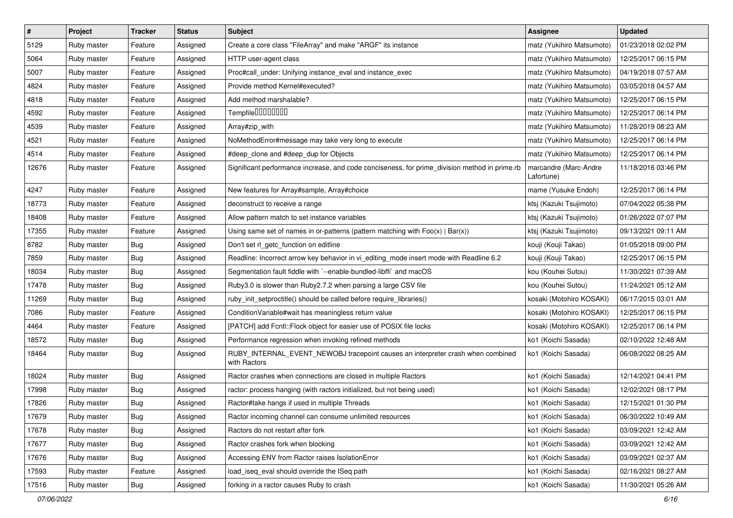| $\vert$ # | Project     | <b>Tracker</b> | <b>Status</b> | <b>Subject</b>                                                                                  | <b>Assignee</b>                     | <b>Updated</b>      |
|-----------|-------------|----------------|---------------|-------------------------------------------------------------------------------------------------|-------------------------------------|---------------------|
| 5129      | Ruby master | Feature        | Assigned      | Create a core class "FileArray" and make "ARGF" its instance                                    | matz (Yukihiro Matsumoto)           | 01/23/2018 02:02 PM |
| 5064      | Ruby master | Feature        | Assigned      | HTTP user-agent class                                                                           | matz (Yukihiro Matsumoto)           | 12/25/2017 06:15 PM |
| 5007      | Ruby master | Feature        | Assigned      | Proc#call_under: Unifying instance_eval and instance_exec                                       | matz (Yukihiro Matsumoto)           | 04/19/2018 07:57 AM |
| 4824      | Ruby master | Feature        | Assigned      | Provide method Kernel#executed?                                                                 | matz (Yukihiro Matsumoto)           | 03/05/2018 04:57 AM |
| 4818      | Ruby master | Feature        | Assigned      | Add method marshalable?                                                                         | matz (Yukihiro Matsumoto)           | 12/25/2017 06:15 PM |
| 4592      | Ruby master | Feature        | Assigned      | Tempfile0000000                                                                                 | matz (Yukihiro Matsumoto)           | 12/25/2017 06:14 PM |
| 4539      | Ruby master | Feature        | Assigned      | Array#zip_with                                                                                  | matz (Yukihiro Matsumoto)           | 11/28/2019 08:23 AM |
| 4521      | Ruby master | Feature        | Assigned      | NoMethodError#message may take very long to execute                                             | matz (Yukihiro Matsumoto)           | 12/25/2017 06:14 PM |
| 4514      | Ruby master | Feature        | Assigned      | #deep_clone and #deep_dup for Objects                                                           | matz (Yukihiro Matsumoto)           | 12/25/2017 06:14 PM |
| 12676     | Ruby master | Feature        | Assigned      | Significant performance increase, and code conciseness, for prime_division method in prime.rb   | marcandre (Marc-Andre<br>Lafortune) | 11/18/2016 03:46 PM |
| 4247      | Ruby master | Feature        | Assigned      | New features for Array#sample, Array#choice                                                     | mame (Yusuke Endoh)                 | 12/25/2017 06:14 PM |
| 18773     | Ruby master | Feature        | Assigned      | deconstruct to receive a range                                                                  | ktsj (Kazuki Tsujimoto)             | 07/04/2022 05:38 PM |
| 18408     | Ruby master | Feature        | Assigned      | Allow pattern match to set instance variables                                                   | ktsj (Kazuki Tsujimoto)             | 01/26/2022 07:07 PM |
| 17355     | Ruby master | Feature        | Assigned      | Using same set of names in or-patterns (pattern matching with $Foo(x)   Bar(x)$ )               | ktsj (Kazuki Tsujimoto)             | 09/13/2021 09:11 AM |
| 8782      | Ruby master | <b>Bug</b>     | Assigned      | Don't set rl_getc_function on editline                                                          | kouji (Kouji Takao)                 | 01/05/2018 09:00 PM |
| 7859      | Ruby master | <b>Bug</b>     | Assigned      | Readline: Incorrect arrow key behavior in vi_editing_mode insert mode with Readline 6.2         | kouji (Kouji Takao)                 | 12/25/2017 06:15 PM |
| 18034     | Ruby master | <b>Bug</b>     | Assigned      | Segmentation fault fiddle with `--enable-bundled-libffi` and macOS                              | kou (Kouhei Sutou)                  | 11/30/2021 07:39 AM |
| 17478     | Ruby master | <b>Bug</b>     | Assigned      | Ruby3.0 is slower than Ruby2.7.2 when parsing a large CSV file                                  | kou (Kouhei Sutou)                  | 11/24/2021 05:12 AM |
| 11269     | Ruby master | <b>Bug</b>     | Assigned      | ruby_init_setproctitle() should be called before require_libraries()                            | kosaki (Motohiro KOSAKI)            | 06/17/2015 03:01 AM |
| 7086      | Ruby master | Feature        | Assigned      | ConditionVariable#wait has meaningless return value                                             | kosaki (Motohiro KOSAKI)            | 12/25/2017 06:15 PM |
| 4464      | Ruby master | Feature        | Assigned      | [PATCH] add Fcntl::Flock object for easier use of POSIX file locks                              | kosaki (Motohiro KOSAKI)            | 12/25/2017 06:14 PM |
| 18572     | Ruby master | <b>Bug</b>     | Assigned      | Performance regression when invoking refined methods                                            | ko1 (Koichi Sasada)                 | 02/10/2022 12:48 AM |
| 18464     | Ruby master | <b>Bug</b>     | Assigned      | RUBY_INTERNAL_EVENT_NEWOBJ tracepoint causes an interpreter crash when combined<br>with Ractors | ko1 (Koichi Sasada)                 | 06/08/2022 08:25 AM |
| 18024     | Ruby master | Bug            | Assigned      | Ractor crashes when connections are closed in multiple Ractors                                  | ko1 (Koichi Sasada)                 | 12/14/2021 04:41 PM |
| 17998     | Ruby master | Bug            | Assigned      | ractor: process hanging (with ractors initialized, but not being used)                          | ko1 (Koichi Sasada)                 | 12/02/2021 08:17 PM |
| 17826     | Ruby master | Bug            | Assigned      | Ractor#take hangs if used in multiple Threads                                                   | ko1 (Koichi Sasada)                 | 12/15/2021 01:30 PM |
| 17679     | Ruby master | Bug            | Assigned      | Ractor incoming channel can consume unlimited resources                                         | ko1 (Koichi Sasada)                 | 06/30/2022 10:49 AM |
| 17678     | Ruby master | Bug            | Assigned      | Ractors do not restart after fork                                                               | ko1 (Koichi Sasada)                 | 03/09/2021 12:42 AM |
| 17677     | Ruby master | Bug            | Assigned      | Ractor crashes fork when blocking                                                               | ko1 (Koichi Sasada)                 | 03/09/2021 12:42 AM |
| 17676     | Ruby master | <b>Bug</b>     | Assigned      | Accessing ENV from Ractor raises IsolationError                                                 | ko1 (Koichi Sasada)                 | 03/09/2021 02:37 AM |
| 17593     | Ruby master | Feature        | Assigned      | load_iseq_eval should override the ISeq path                                                    | ko1 (Koichi Sasada)                 | 02/16/2021 08:27 AM |
| 17516     | Ruby master | <b>Bug</b>     | Assigned      | forking in a ractor causes Ruby to crash                                                        | ko1 (Koichi Sasada)                 | 11/30/2021 05:26 AM |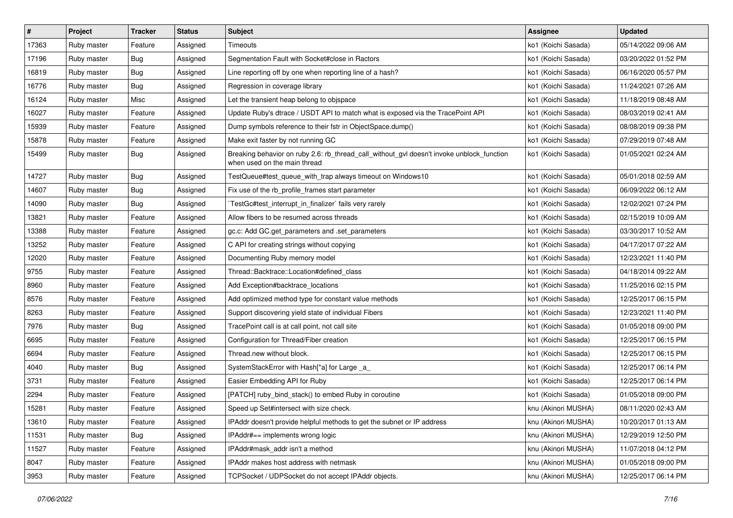| $\vert$ # | Project     | Tracker    | <b>Status</b> | <b>Subject</b>                                                                                                            | <b>Assignee</b>     | <b>Updated</b>      |
|-----------|-------------|------------|---------------|---------------------------------------------------------------------------------------------------------------------------|---------------------|---------------------|
| 17363     | Ruby master | Feature    | Assigned      | Timeouts                                                                                                                  | ko1 (Koichi Sasada) | 05/14/2022 09:06 AM |
| 17196     | Ruby master | Bug        | Assigned      | Segmentation Fault with Socket#close in Ractors                                                                           | ko1 (Koichi Sasada) | 03/20/2022 01:52 PM |
| 16819     | Ruby master | Bug        | Assigned      | Line reporting off by one when reporting line of a hash?                                                                  | ko1 (Koichi Sasada) | 06/16/2020 05:57 PM |
| 16776     | Ruby master | Bug        | Assigned      | Regression in coverage library                                                                                            | ko1 (Koichi Sasada) | 11/24/2021 07:26 AM |
| 16124     | Ruby master | Misc       | Assigned      | Let the transient heap belong to objspace                                                                                 | ko1 (Koichi Sasada) | 11/18/2019 08:48 AM |
| 16027     | Ruby master | Feature    | Assigned      | Update Ruby's dtrace / USDT API to match what is exposed via the TracePoint API                                           | ko1 (Koichi Sasada) | 08/03/2019 02:41 AM |
| 15939     | Ruby master | Feature    | Assigned      | Dump symbols reference to their fstr in ObjectSpace.dump()                                                                | ko1 (Koichi Sasada) | 08/08/2019 09:38 PM |
| 15878     | Ruby master | Feature    | Assigned      | Make exit faster by not running GC                                                                                        | ko1 (Koichi Sasada) | 07/29/2019 07:48 AM |
| 15499     | Ruby master | <b>Bug</b> | Assigned      | Breaking behavior on ruby 2.6: rb_thread_call_without_gvl doesn't invoke unblock_function<br>when used on the main thread | ko1 (Koichi Sasada) | 01/05/2021 02:24 AM |
| 14727     | Ruby master | Bug        | Assigned      | TestQueue#test_queue_with_trap always timeout on Windows10                                                                | ko1 (Koichi Sasada) | 05/01/2018 02:59 AM |
| 14607     | Ruby master | Bug        | Assigned      | Fix use of the rb_profile_frames start parameter                                                                          | ko1 (Koichi Sasada) | 06/09/2022 06:12 AM |
| 14090     | Ruby master | Bug        | Assigned      | TestGc#test_interrupt_in_finalizer`fails very rarely                                                                      | ko1 (Koichi Sasada) | 12/02/2021 07:24 PM |
| 13821     | Ruby master | Feature    | Assigned      | Allow fibers to be resumed across threads                                                                                 | ko1 (Koichi Sasada) | 02/15/2019 10:09 AM |
| 13388     | Ruby master | Feature    | Assigned      | gc.c: Add GC.get_parameters and .set_parameters                                                                           | ko1 (Koichi Sasada) | 03/30/2017 10:52 AM |
| 13252     | Ruby master | Feature    | Assigned      | C API for creating strings without copying                                                                                | ko1 (Koichi Sasada) | 04/17/2017 07:22 AM |
| 12020     | Ruby master | Feature    | Assigned      | Documenting Ruby memory model                                                                                             | ko1 (Koichi Sasada) | 12/23/2021 11:40 PM |
| 9755      | Ruby master | Feature    | Assigned      | Thread::Backtrace::Location#defined class                                                                                 | ko1 (Koichi Sasada) | 04/18/2014 09:22 AM |
| 8960      | Ruby master | Feature    | Assigned      | Add Exception#backtrace_locations                                                                                         | ko1 (Koichi Sasada) | 11/25/2016 02:15 PM |
| 8576      | Ruby master | Feature    | Assigned      | Add optimized method type for constant value methods                                                                      | ko1 (Koichi Sasada) | 12/25/2017 06:15 PM |
| 8263      | Ruby master | Feature    | Assigned      | Support discovering yield state of individual Fibers                                                                      | ko1 (Koichi Sasada) | 12/23/2021 11:40 PM |
| 7976      | Ruby master | Bug        | Assigned      | TracePoint call is at call point, not call site                                                                           | ko1 (Koichi Sasada) | 01/05/2018 09:00 PM |
| 6695      | Ruby master | Feature    | Assigned      | Configuration for Thread/Fiber creation                                                                                   | ko1 (Koichi Sasada) | 12/25/2017 06:15 PM |
| 6694      | Ruby master | Feature    | Assigned      | Thread.new without block.                                                                                                 | ko1 (Koichi Sasada) | 12/25/2017 06:15 PM |
| 4040      | Ruby master | Bug        | Assigned      | SystemStackError with Hash[*a] for Large _a_                                                                              | ko1 (Koichi Sasada) | 12/25/2017 06:14 PM |
| 3731      | Ruby master | Feature    | Assigned      | Easier Embedding API for Ruby                                                                                             | ko1 (Koichi Sasada) | 12/25/2017 06:14 PM |
| 2294      | Ruby master | Feature    | Assigned      | [PATCH] ruby_bind_stack() to embed Ruby in coroutine                                                                      | ko1 (Koichi Sasada) | 01/05/2018 09:00 PM |
| 15281     | Ruby master | Feature    | Assigned      | Speed up Set#intersect with size check.                                                                                   | knu (Akinori MUSHA) | 08/11/2020 02:43 AM |
| 13610     | Ruby master | Feature    | Assigned      | IPAddr doesn't provide helpful methods to get the subnet or IP address                                                    | knu (Akinori MUSHA) | 10/20/2017 01:13 AM |
| 11531     | Ruby master | <b>Bug</b> | Assigned      | IPAddr#== implements wrong logic                                                                                          | knu (Akinori MUSHA) | 12/29/2019 12:50 PM |
| 11527     | Ruby master | Feature    | Assigned      | IPAddr#mask_addr isn't a method                                                                                           | knu (Akinori MUSHA) | 11/07/2018 04:12 PM |
| 8047      | Ruby master | Feature    | Assigned      | IPAddr makes host address with netmask                                                                                    | knu (Akinori MUSHA) | 01/05/2018 09:00 PM |
| 3953      | Ruby master | Feature    | Assigned      | TCPSocket / UDPSocket do not accept IPAddr objects.                                                                       | knu (Akinori MUSHA) | 12/25/2017 06:14 PM |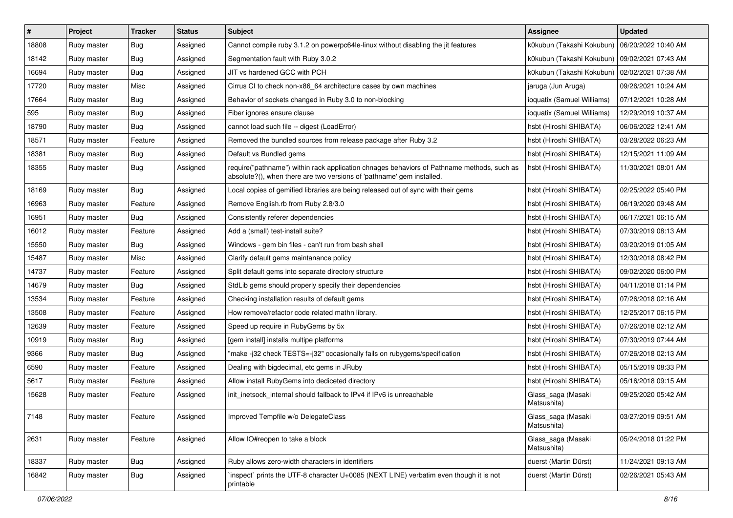| $\vert$ # | Project     | <b>Tracker</b> | <b>Status</b> | Subject                                                                                                                                                             | <b>Assignee</b>                   | <b>Updated</b>      |
|-----------|-------------|----------------|---------------|---------------------------------------------------------------------------------------------------------------------------------------------------------------------|-----------------------------------|---------------------|
| 18808     | Ruby master | Bug            | Assigned      | Cannot compile ruby 3.1.2 on powerpc64le-linux without disabling the jit features                                                                                   | k0kubun (Takashi Kokubun)         | 06/20/2022 10:40 AM |
| 18142     | Ruby master | <b>Bug</b>     | Assigned      | Segmentation fault with Ruby 3.0.2                                                                                                                                  | k0kubun (Takashi Kokubun)         | 09/02/2021 07:43 AM |
| 16694     | Ruby master | <b>Bug</b>     | Assigned      | JIT vs hardened GCC with PCH                                                                                                                                        | k0kubun (Takashi Kokubun)         | 02/02/2021 07:38 AM |
| 17720     | Ruby master | Misc           | Assigned      | Cirrus CI to check non-x86_64 architecture cases by own machines                                                                                                    | jaruga (Jun Aruga)                | 09/26/2021 10:24 AM |
| 17664     | Ruby master | <b>Bug</b>     | Assigned      | Behavior of sockets changed in Ruby 3.0 to non-blocking                                                                                                             | ioquatix (Samuel Williams)        | 07/12/2021 10:28 AM |
| 595       | Ruby master | <b>Bug</b>     | Assigned      | Fiber ignores ensure clause                                                                                                                                         | ioquatix (Samuel Williams)        | 12/29/2019 10:37 AM |
| 18790     | Ruby master | Bug            | Assigned      | cannot load such file -- digest (LoadError)                                                                                                                         | hsbt (Hiroshi SHIBATA)            | 06/06/2022 12:41 AM |
| 18571     | Ruby master | Feature        | Assigned      | Removed the bundled sources from release package after Ruby 3.2                                                                                                     | hsbt (Hiroshi SHIBATA)            | 03/28/2022 06:23 AM |
| 18381     | Ruby master | Bug            | Assigned      | Default vs Bundled gems                                                                                                                                             | hsbt (Hiroshi SHIBATA)            | 12/15/2021 11:09 AM |
| 18355     | Ruby master | <b>Bug</b>     | Assigned      | require("pathname") within rack application chnages behaviors of Pathname methods, such as<br>absolute?(), when there are two versions of 'pathname' gem installed. | hsbt (Hiroshi SHIBATA)            | 11/30/2021 08:01 AM |
| 18169     | Ruby master | Bug            | Assigned      | Local copies of gemified libraries are being released out of sync with their gems                                                                                   | hsbt (Hiroshi SHIBATA)            | 02/25/2022 05:40 PM |
| 16963     | Ruby master | Feature        | Assigned      | Remove English.rb from Ruby 2.8/3.0                                                                                                                                 | hsbt (Hiroshi SHIBATA)            | 06/19/2020 09:48 AM |
| 16951     | Ruby master | Bug            | Assigned      | Consistently referer dependencies                                                                                                                                   | hsbt (Hiroshi SHIBATA)            | 06/17/2021 06:15 AM |
| 16012     | Ruby master | Feature        | Assigned      | Add a (small) test-install suite?                                                                                                                                   | hsbt (Hiroshi SHIBATA)            | 07/30/2019 08:13 AM |
| 15550     | Ruby master | Bug            | Assigned      | Windows - gem bin files - can't run from bash shell                                                                                                                 | hsbt (Hiroshi SHIBATA)            | 03/20/2019 01:05 AM |
| 15487     | Ruby master | Misc           | Assigned      | Clarify default gems maintanance policy                                                                                                                             | hsbt (Hiroshi SHIBATA)            | 12/30/2018 08:42 PM |
| 14737     | Ruby master | Feature        | Assigned      | Split default gems into separate directory structure                                                                                                                | hsbt (Hiroshi SHIBATA)            | 09/02/2020 06:00 PM |
| 14679     | Ruby master | <b>Bug</b>     | Assigned      | StdLib gems should properly specify their dependencies                                                                                                              | hsbt (Hiroshi SHIBATA)            | 04/11/2018 01:14 PM |
| 13534     | Ruby master | Feature        | Assigned      | Checking installation results of default gems                                                                                                                       | hsbt (Hiroshi SHIBATA)            | 07/26/2018 02:16 AM |
| 13508     | Ruby master | Feature        | Assigned      | How remove/refactor code related mathn library.                                                                                                                     | hsbt (Hiroshi SHIBATA)            | 12/25/2017 06:15 PM |
| 12639     | Ruby master | Feature        | Assigned      | Speed up require in RubyGems by 5x                                                                                                                                  | hsbt (Hiroshi SHIBATA)            | 07/26/2018 02:12 AM |
| 10919     | Ruby master | , Bug          | Assigned      | [gem install] installs multipe platforms                                                                                                                            | hsbt (Hiroshi SHIBATA)            | 07/30/2019 07:44 AM |
| 9366      | Ruby master | Bug            | Assigned      | "make-j32 check TESTS=-j32" occasionally fails on rubygems/specification                                                                                            | hsbt (Hiroshi SHIBATA)            | 07/26/2018 02:13 AM |
| 6590      | Ruby master | Feature        | Assigned      | Dealing with bigdecimal, etc gems in JRuby                                                                                                                          | hsbt (Hiroshi SHIBATA)            | 05/15/2019 08:33 PM |
| 5617      | Ruby master | Feature        | Assigned      | Allow install RubyGems into dediceted directory                                                                                                                     | hsbt (Hiroshi SHIBATA)            | 05/16/2018 09:15 AM |
| 15628     | Ruby master | Feature        | Assigned      | init inetsock internal should fallback to IPv4 if IPv6 is unreachable                                                                                               | Glass_saga (Masaki<br>Matsushita) | 09/25/2020 05:42 AM |
| 7148      | Ruby master | Feature        | Assigned      | Improved Tempfile w/o DelegateClass                                                                                                                                 | Glass_saga (Masaki<br>Matsushita) | 03/27/2019 09:51 AM |
| 2631      | Ruby master | Feature        | Assigned      | Allow IO#reopen to take a block                                                                                                                                     | Glass_saga (Masaki<br>Matsushita) | 05/24/2018 01:22 PM |
| 18337     | Ruby master | Bug            | Assigned      | Ruby allows zero-width characters in identifiers                                                                                                                    | duerst (Martin Dürst)             | 11/24/2021 09:13 AM |
| 16842     | Ruby master | <b>Bug</b>     | Assigned      | inspect` prints the UTF-8 character U+0085 (NEXT LINE) verbatim even though it is not<br>printable                                                                  | duerst (Martin Dürst)             | 02/26/2021 05:43 AM |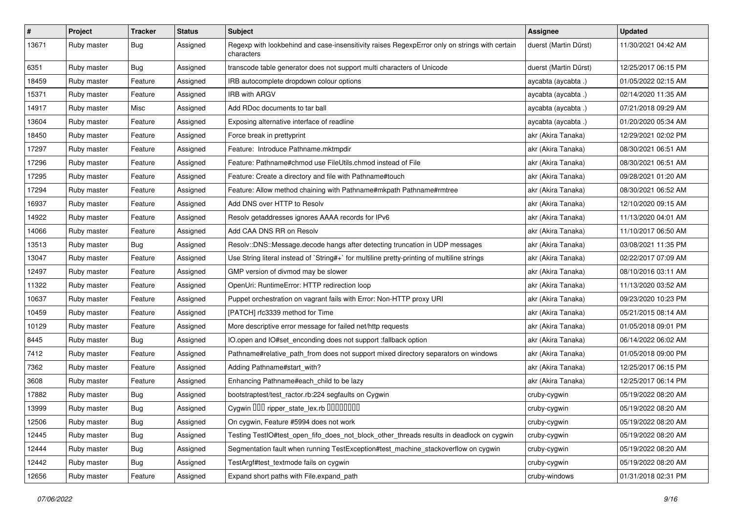| #     | Project     | <b>Tracker</b> | <b>Status</b> | <b>Subject</b>                                                                                              | <b>Assignee</b>       | <b>Updated</b>      |
|-------|-------------|----------------|---------------|-------------------------------------------------------------------------------------------------------------|-----------------------|---------------------|
| 13671 | Ruby master | Bug            | Assigned      | Regexp with lookbehind and case-insensitivity raises RegexpError only on strings with certain<br>characters | duerst (Martin Dürst) | 11/30/2021 04:42 AM |
| 6351  | Ruby master | Bug            | Assigned      | transcode table generator does not support multi characters of Unicode                                      | duerst (Martin Dürst) | 12/25/2017 06:15 PM |
| 18459 | Ruby master | Feature        | Assigned      | IRB autocomplete dropdown colour options                                                                    | aycabta (aycabta .)   | 01/05/2022 02:15 AM |
| 15371 | Ruby master | Feature        | Assigned      | <b>IRB with ARGV</b>                                                                                        | aycabta (aycabta .)   | 02/14/2020 11:35 AM |
| 14917 | Ruby master | Misc           | Assigned      | Add RDoc documents to tar ball                                                                              | aycabta (aycabta .)   | 07/21/2018 09:29 AM |
| 13604 | Ruby master | Feature        | Assigned      | Exposing alternative interface of readline                                                                  | aycabta (aycabta .)   | 01/20/2020 05:34 AM |
| 18450 | Ruby master | Feature        | Assigned      | Force break in prettyprint                                                                                  | akr (Akira Tanaka)    | 12/29/2021 02:02 PM |
| 17297 | Ruby master | Feature        | Assigned      | Feature: Introduce Pathname.mktmpdir                                                                        | akr (Akira Tanaka)    | 08/30/2021 06:51 AM |
| 17296 | Ruby master | Feature        | Assigned      | Feature: Pathname#chmod use FileUtils.chmod instead of File                                                 | akr (Akira Tanaka)    | 08/30/2021 06:51 AM |
| 17295 | Ruby master | Feature        | Assigned      | Feature: Create a directory and file with Pathname#touch                                                    | akr (Akira Tanaka)    | 09/28/2021 01:20 AM |
| 17294 | Ruby master | Feature        | Assigned      | Feature: Allow method chaining with Pathname#mkpath Pathname#rmtree                                         | akr (Akira Tanaka)    | 08/30/2021 06:52 AM |
| 16937 | Ruby master | Feature        | Assigned      | Add DNS over HTTP to Resolv                                                                                 | akr (Akira Tanaka)    | 12/10/2020 09:15 AM |
| 14922 | Ruby master | Feature        | Assigned      | Resolv getaddresses ignores AAAA records for IPv6                                                           | akr (Akira Tanaka)    | 11/13/2020 04:01 AM |
| 14066 | Ruby master | Feature        | Assigned      | Add CAA DNS RR on Resolv                                                                                    | akr (Akira Tanaka)    | 11/10/2017 06:50 AM |
| 13513 | Ruby master | Bug            | Assigned      | Resolv::DNS::Message.decode hangs after detecting truncation in UDP messages                                | akr (Akira Tanaka)    | 03/08/2021 11:35 PM |
| 13047 | Ruby master | Feature        | Assigned      | Use String literal instead of `String#+` for multiline pretty-printing of multiline strings                 | akr (Akira Tanaka)    | 02/22/2017 07:09 AM |
| 12497 | Ruby master | Feature        | Assigned      | GMP version of divmod may be slower                                                                         | akr (Akira Tanaka)    | 08/10/2016 03:11 AM |
| 11322 | Ruby master | Feature        | Assigned      | OpenUri: RuntimeError: HTTP redirection loop                                                                | akr (Akira Tanaka)    | 11/13/2020 03:52 AM |
| 10637 | Ruby master | Feature        | Assigned      | Puppet orchestration on vagrant fails with Error: Non-HTTP proxy URI                                        | akr (Akira Tanaka)    | 09/23/2020 10:23 PM |
| 10459 | Ruby master | Feature        | Assigned      | [PATCH] rfc3339 method for Time                                                                             | akr (Akira Tanaka)    | 05/21/2015 08:14 AM |
| 10129 | Ruby master | Feature        | Assigned      | More descriptive error message for failed net/http requests                                                 | akr (Akira Tanaka)    | 01/05/2018 09:01 PM |
| 8445  | Ruby master | Bug            | Assigned      | IO.open and IO#set_enconding does not support :fallback option                                              | akr (Akira Tanaka)    | 06/14/2022 06:02 AM |
| 7412  | Ruby master | Feature        | Assigned      | Pathname#relative_path_from does not support mixed directory separators on windows                          | akr (Akira Tanaka)    | 01/05/2018 09:00 PM |
| 7362  | Ruby master | Feature        | Assigned      | Adding Pathname#start_with?                                                                                 | akr (Akira Tanaka)    | 12/25/2017 06:15 PM |
| 3608  | Ruby master | Feature        | Assigned      | Enhancing Pathname#each_child to be lazy                                                                    | akr (Akira Tanaka)    | 12/25/2017 06:14 PM |
| 17882 | Ruby master | Bug            | Assigned      | bootstraptest/test_ractor.rb:224 segfaults on Cygwin                                                        | cruby-cygwin          | 05/19/2022 08:20 AM |
| 13999 | Ruby master | <b>Bug</b>     | Assigned      | Cygwin DDD ripper_state_lex.rb DDDDDDDD                                                                     | cruby-cygwin          | 05/19/2022 08:20 AM |
| 12506 | Ruby master | <b>Bug</b>     | Assigned      | On cygwin, Feature #5994 does not work                                                                      | cruby-cygwin          | 05/19/2022 08:20 AM |
| 12445 | Ruby master | Bug            | Assigned      | Testing TestIO#test_open_fifo_does_not_block_other_threads results in deadlock on cygwin                    | cruby-cygwin          | 05/19/2022 08:20 AM |
| 12444 | Ruby master | <b>Bug</b>     | Assigned      | Segmentation fault when running TestException#test_machine_stackoverflow on cygwin                          | cruby-cygwin          | 05/19/2022 08:20 AM |
| 12442 | Ruby master | <b>Bug</b>     | Assigned      | TestArgf#test_textmode fails on cygwin                                                                      | cruby-cygwin          | 05/19/2022 08:20 AM |
| 12656 | Ruby master | Feature        | Assigned      | Expand short paths with File.expand_path                                                                    | cruby-windows         | 01/31/2018 02:31 PM |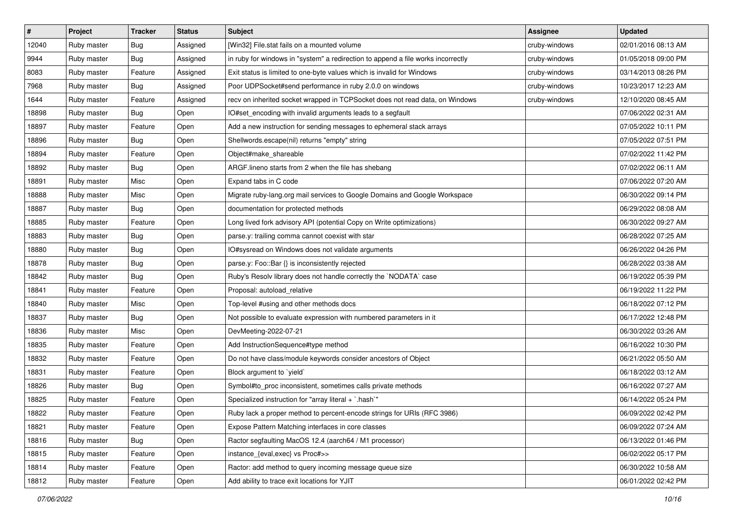| $\vert$ # | Project     | <b>Tracker</b> | <b>Status</b> | <b>Subject</b>                                                                   | Assignee      | <b>Updated</b>      |
|-----------|-------------|----------------|---------------|----------------------------------------------------------------------------------|---------------|---------------------|
| 12040     | Ruby master | Bug            | Assigned      | [Win32] File.stat fails on a mounted volume                                      | cruby-windows | 02/01/2016 08:13 AM |
| 9944      | Ruby master | Bug            | Assigned      | in ruby for windows in "system" a redirection to append a file works incorrectly | cruby-windows | 01/05/2018 09:00 PM |
| 8083      | Ruby master | Feature        | Assigned      | Exit status is limited to one-byte values which is invalid for Windows           | cruby-windows | 03/14/2013 08:26 PM |
| 7968      | Ruby master | Bug            | Assigned      | Poor UDPSocket#send performance in ruby 2.0.0 on windows                         | cruby-windows | 10/23/2017 12:23 AM |
| 1644      | Ruby master | Feature        | Assigned      | recv on inherited socket wrapped in TCPSocket does not read data, on Windows     | cruby-windows | 12/10/2020 08:45 AM |
| 18898     | Ruby master | Bug            | Open          | IO#set_encoding with invalid arguments leads to a segfault                       |               | 07/06/2022 02:31 AM |
| 18897     | Ruby master | Feature        | Open          | Add a new instruction for sending messages to ephemeral stack arrays             |               | 07/05/2022 10:11 PM |
| 18896     | Ruby master | <b>Bug</b>     | Open          | Shellwords.escape(nil) returns "empty" string                                    |               | 07/05/2022 07:51 PM |
| 18894     | Ruby master | Feature        | Open          | Object#make_shareable                                                            |               | 07/02/2022 11:42 PM |
| 18892     | Ruby master | Bug            | Open          | ARGF lineno starts from 2 when the file has shebang                              |               | 07/02/2022 06:11 AM |
| 18891     | Ruby master | Misc           | Open          | Expand tabs in C code                                                            |               | 07/06/2022 07:20 AM |
| 18888     | Ruby master | Misc           | Open          | Migrate ruby-lang.org mail services to Google Domains and Google Workspace       |               | 06/30/2022 09:14 PM |
| 18887     | Ruby master | Bug            | Open          | documentation for protected methods                                              |               | 06/29/2022 08:08 AM |
| 18885     | Ruby master | Feature        | Open          | Long lived fork advisory API (potential Copy on Write optimizations)             |               | 06/30/2022 09:27 AM |
| 18883     | Ruby master | Bug            | Open          | parse.y: trailing comma cannot coexist with star                                 |               | 06/28/2022 07:25 AM |
| 18880     | Ruby master | Bug            | Open          | IO#sysread on Windows does not validate arguments                                |               | 06/26/2022 04:26 PM |
| 18878     | Ruby master | Bug            | Open          | parse.y: Foo::Bar {} is inconsistently rejected                                  |               | 06/28/2022 03:38 AM |
| 18842     | Ruby master | Bug            | Open          | Ruby's Resolv library does not handle correctly the `NODATA` case                |               | 06/19/2022 05:39 PM |
| 18841     | Ruby master | Feature        | Open          | Proposal: autoload_relative                                                      |               | 06/19/2022 11:22 PM |
| 18840     | Ruby master | Misc           | Open          | Top-level #using and other methods docs                                          |               | 06/18/2022 07:12 PM |
| 18837     | Ruby master | Bug            | Open          | Not possible to evaluate expression with numbered parameters in it               |               | 06/17/2022 12:48 PM |
| 18836     | Ruby master | Misc           | Open          | DevMeeting-2022-07-21                                                            |               | 06/30/2022 03:26 AM |
| 18835     | Ruby master | Feature        | Open          | Add InstructionSequence#type method                                              |               | 06/16/2022 10:30 PM |
| 18832     | Ruby master | Feature        | Open          | Do not have class/module keywords consider ancestors of Object                   |               | 06/21/2022 05:50 AM |
| 18831     | Ruby master | Feature        | Open          | Block argument to `yield`                                                        |               | 06/18/2022 03:12 AM |
| 18826     | Ruby master | Bug            | Open          | Symbol#to_proc inconsistent, sometimes calls private methods                     |               | 06/16/2022 07:27 AM |
| 18825     | Ruby master | Feature        | Open          | Specialized instruction for "array literal $+$ `.hash`"                          |               | 06/14/2022 05:24 PM |
| 18822     | Ruby master | Feature        | Open          | Ruby lack a proper method to percent-encode strings for URIs (RFC 3986)          |               | 06/09/2022 02:42 PM |
| 18821     | Ruby master | Feature        | Open          | Expose Pattern Matching interfaces in core classes                               |               | 06/09/2022 07:24 AM |
| 18816     | Ruby master | Bug            | Open          | Ractor segfaulting MacOS 12.4 (aarch64 / M1 processor)                           |               | 06/13/2022 01:46 PM |
| 18815     | Ruby master | Feature        | Open          | instance_{eval,exec} vs Proc#>>                                                  |               | 06/02/2022 05:17 PM |
| 18814     | Ruby master | Feature        | Open          | Ractor: add method to query incoming message queue size                          |               | 06/30/2022 10:58 AM |
| 18812     | Ruby master | Feature        | Open          | Add ability to trace exit locations for YJIT                                     |               | 06/01/2022 02:42 PM |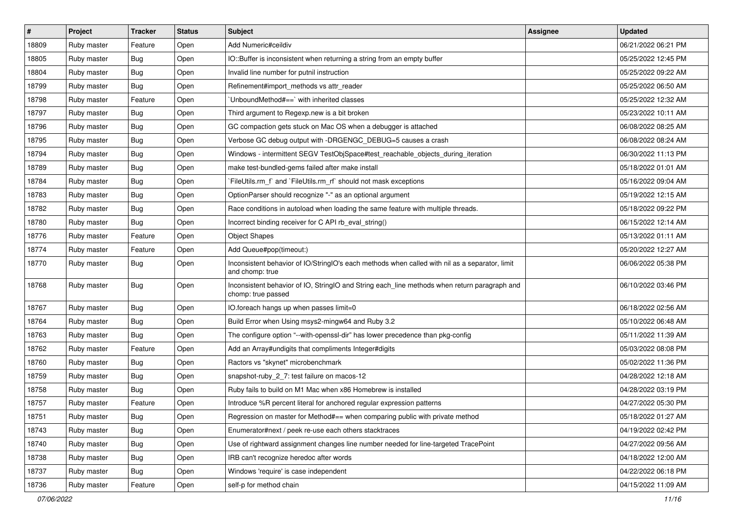| $\sharp$ | Project     | Tracker    | <b>Status</b> | <b>Subject</b>                                                                                                     | <b>Assignee</b> | <b>Updated</b>      |
|----------|-------------|------------|---------------|--------------------------------------------------------------------------------------------------------------------|-----------------|---------------------|
| 18809    | Ruby master | Feature    | Open          | Add Numeric#ceildiv                                                                                                |                 | 06/21/2022 06:21 PM |
| 18805    | Ruby master | <b>Bug</b> | Open          | IO::Buffer is inconsistent when returning a string from an empty buffer                                            |                 | 05/25/2022 12:45 PM |
| 18804    | Ruby master | Bug        | Open          | Invalid line number for putnil instruction                                                                         |                 | 05/25/2022 09:22 AM |
| 18799    | Ruby master | Bug        | Open          | Refinement#import_methods vs attr_reader                                                                           |                 | 05/25/2022 06:50 AM |
| 18798    | Ruby master | Feature    | Open          | 'UnboundMethod#==' with inherited classes                                                                          |                 | 05/25/2022 12:32 AM |
| 18797    | Ruby master | Bug        | Open          | Third argument to Regexp.new is a bit broken                                                                       |                 | 05/23/2022 10:11 AM |
| 18796    | Ruby master | Bug        | Open          | GC compaction gets stuck on Mac OS when a debugger is attached                                                     |                 | 06/08/2022 08:25 AM |
| 18795    | Ruby master | Bug        | Open          | Verbose GC debug output with -DRGENGC_DEBUG=5 causes a crash                                                       |                 | 06/08/2022 08:24 AM |
| 18794    | Ruby master | Bug        | Open          | Windows - intermittent SEGV TestObjSpace#test_reachable_objects_during_iteration                                   |                 | 06/30/2022 11:13 PM |
| 18789    | Ruby master | Bug        | Open          | make test-bundled-gems failed after make install                                                                   |                 | 05/18/2022 01:01 AM |
| 18784    | Ruby master | <b>Bug</b> | Open          | FileUtils.rm f and FileUtils.rm rf should not mask exceptions                                                      |                 | 05/16/2022 09:04 AM |
| 18783    | Ruby master | Bug        | Open          | OptionParser should recognize "-" as an optional argument                                                          |                 | 05/19/2022 12:15 AM |
| 18782    | Ruby master | Bug        | Open          | Race conditions in autoload when loading the same feature with multiple threads.                                   |                 | 05/18/2022 09:22 PM |
| 18780    | Ruby master | Bug        | Open          | Incorrect binding receiver for C API rb_eval_string()                                                              |                 | 06/15/2022 12:14 AM |
| 18776    | Ruby master | Feature    | Open          | <b>Object Shapes</b>                                                                                               |                 | 05/13/2022 01:11 AM |
| 18774    | Ruby master | Feature    | Open          | Add Queue#pop(timeout:)                                                                                            |                 | 05/20/2022 12:27 AM |
| 18770    | Ruby master | Bug        | Open          | Inconsistent behavior of IO/StringIO's each methods when called with nil as a separator, limit<br>and chomp: true  |                 | 06/06/2022 05:38 PM |
| 18768    | Ruby master | Bug        | Open          | Inconsistent behavior of IO, StringIO and String each_line methods when return paragraph and<br>chomp: true passed |                 | 06/10/2022 03:46 PM |
| 18767    | Ruby master | Bug        | Open          | IO.foreach hangs up when passes limit=0                                                                            |                 | 06/18/2022 02:56 AM |
| 18764    | Ruby master | Bug        | Open          | Build Error when Using msys2-mingw64 and Ruby 3.2                                                                  |                 | 05/10/2022 06:48 AM |
| 18763    | Ruby master | Bug        | Open          | The configure option "--with-openssl-dir" has lower precedence than pkg-config                                     |                 | 05/11/2022 11:39 AM |
| 18762    | Ruby master | Feature    | Open          | Add an Array#undigits that compliments Integer#digits                                                              |                 | 05/03/2022 08:08 PM |
| 18760    | Ruby master | Bug        | Open          | Ractors vs "skynet" microbenchmark                                                                                 |                 | 05/02/2022 11:36 PM |
| 18759    | Ruby master | Bug        | Open          | snapshot-ruby_2_7: test failure on macos-12                                                                        |                 | 04/28/2022 12:18 AM |
| 18758    | Ruby master | Bug        | Open          | Ruby fails to build on M1 Mac when x86 Homebrew is installed                                                       |                 | 04/28/2022 03:19 PM |
| 18757    | Ruby master | Feature    | Open          | Introduce %R percent literal for anchored regular expression patterns                                              |                 | 04/27/2022 05:30 PM |
| 18751    | Ruby master | Bug        | Open          | Regression on master for Method#== when comparing public with private method                                       |                 | 05/18/2022 01:27 AM |
| 18743    | Ruby master | <b>Bug</b> | Open          | Enumerator#next / peek re-use each others stacktraces                                                              |                 | 04/19/2022 02:42 PM |
| 18740    | Ruby master | <b>Bug</b> | Open          | Use of rightward assignment changes line number needed for line-targeted TracePoint                                |                 | 04/27/2022 09:56 AM |
| 18738    | Ruby master | <b>Bug</b> | Open          | IRB can't recognize heredoc after words                                                                            |                 | 04/18/2022 12:00 AM |
| 18737    | Ruby master | Bug        | Open          | Windows 'require' is case independent                                                                              |                 | 04/22/2022 06:18 PM |
| 18736    | Ruby master | Feature    | Open          | self-p for method chain                                                                                            |                 | 04/15/2022 11:09 AM |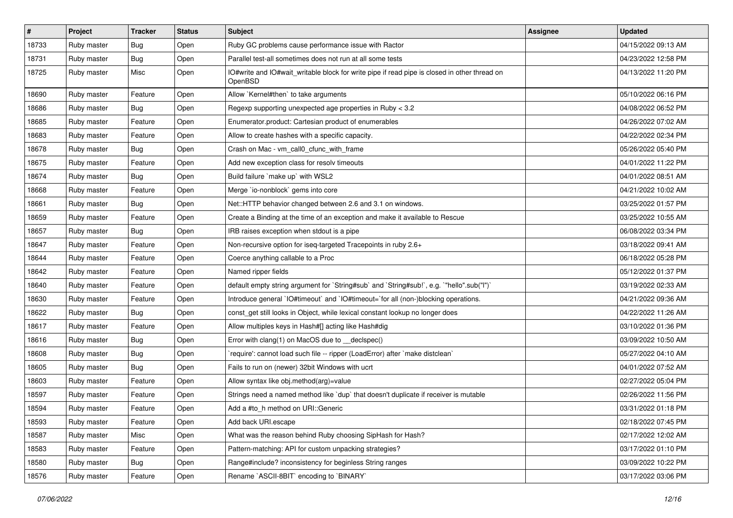| #     | Project     | <b>Tracker</b> | <b>Status</b> | Subject                                                                                                 | Assignee | <b>Updated</b>      |
|-------|-------------|----------------|---------------|---------------------------------------------------------------------------------------------------------|----------|---------------------|
| 18733 | Ruby master | Bug            | Open          | Ruby GC problems cause performance issue with Ractor                                                    |          | 04/15/2022 09:13 AM |
| 18731 | Ruby master | Bug            | Open          | Parallel test-all sometimes does not run at all some tests                                              |          | 04/23/2022 12:58 PM |
| 18725 | Ruby master | Misc           | Open          | IO#write and IO#wait writable block for write pipe if read pipe is closed in other thread on<br>OpenBSD |          | 04/13/2022 11:20 PM |
| 18690 | Ruby master | Feature        | Open          | Allow `Kernel#then` to take arguments                                                                   |          | 05/10/2022 06:16 PM |
| 18686 | Ruby master | Bug            | Open          | Regexp supporting unexpected age properties in Ruby < 3.2                                               |          | 04/08/2022 06:52 PM |
| 18685 | Ruby master | Feature        | Open          | Enumerator.product: Cartesian product of enumerables                                                    |          | 04/26/2022 07:02 AM |
| 18683 | Ruby master | Feature        | Open          | Allow to create hashes with a specific capacity.                                                        |          | 04/22/2022 02:34 PM |
| 18678 | Ruby master | Bug            | Open          | Crash on Mac - vm_call0_cfunc_with_frame                                                                |          | 05/26/2022 05:40 PM |
| 18675 | Ruby master | Feature        | Open          | Add new exception class for resolv timeouts                                                             |          | 04/01/2022 11:22 PM |
| 18674 | Ruby master | Bug            | Open          | Build failure `make up` with WSL2                                                                       |          | 04/01/2022 08:51 AM |
| 18668 | Ruby master | Feature        | Open          | Merge `io-nonblock` gems into core                                                                      |          | 04/21/2022 10:02 AM |
| 18661 | Ruby master | Bug            | Open          | Net::HTTP behavior changed between 2.6 and 3.1 on windows.                                              |          | 03/25/2022 01:57 PM |
| 18659 | Ruby master | Feature        | Open          | Create a Binding at the time of an exception and make it available to Rescue                            |          | 03/25/2022 10:55 AM |
| 18657 | Ruby master | Bug            | Open          | IRB raises exception when stdout is a pipe                                                              |          | 06/08/2022 03:34 PM |
| 18647 | Ruby master | Feature        | Open          | Non-recursive option for iseg-targeted Tracepoints in ruby 2.6+                                         |          | 03/18/2022 09:41 AM |
| 18644 | Ruby master | Feature        | Open          | Coerce anything callable to a Proc                                                                      |          | 06/18/2022 05:28 PM |
| 18642 | Ruby master | Feature        | Open          | Named ripper fields                                                                                     |          | 05/12/2022 01:37 PM |
| 18640 | Ruby master | Feature        | Open          | default empty string argument for `String#sub` and `String#sub!`, e.g. `"hello".sub("I")`               |          | 03/19/2022 02:33 AM |
| 18630 | Ruby master | Feature        | Open          | Introduce general `IO#timeout` and `IO#timeout=`for all (non-)blocking operations.                      |          | 04/21/2022 09:36 AM |
| 18622 | Ruby master | Bug            | Open          | const_get still looks in Object, while lexical constant lookup no longer does                           |          | 04/22/2022 11:26 AM |
| 18617 | Ruby master | Feature        | Open          | Allow multiples keys in Hash#[] acting like Hash#dig                                                    |          | 03/10/2022 01:36 PM |
| 18616 | Ruby master | <b>Bug</b>     | Open          | Error with clang(1) on MacOS due to _declspec()                                                         |          | 03/09/2022 10:50 AM |
| 18608 | Ruby master | Bug            | Open          | `require': cannot load such file -- ripper (LoadError) after `make distclean`                           |          | 05/27/2022 04:10 AM |
| 18605 | Ruby master | Bug            | Open          | Fails to run on (newer) 32bit Windows with ucrt                                                         |          | 04/01/2022 07:52 AM |
| 18603 | Ruby master | Feature        | Open          | Allow syntax like obj.method(arg)=value                                                                 |          | 02/27/2022 05:04 PM |
| 18597 | Ruby master | Feature        | Open          | Strings need a named method like 'dup' that doesn't duplicate if receiver is mutable                    |          | 02/26/2022 11:56 PM |
| 18594 | Ruby master | Feature        | Open          | Add a #to h method on URI::Generic                                                                      |          | 03/31/2022 01:18 PM |
| 18593 | Ruby master | Feature        | Open          | Add back URI.escape                                                                                     |          | 02/18/2022 07:45 PM |
| 18587 | Ruby master | Misc           | Open          | What was the reason behind Ruby choosing SipHash for Hash?                                              |          | 02/17/2022 12:02 AM |
| 18583 | Ruby master | Feature        | Open          | Pattern-matching: API for custom unpacking strategies?                                                  |          | 03/17/2022 01:10 PM |
| 18580 | Ruby master | <b>Bug</b>     | Open          | Range#include? inconsistency for beginless String ranges                                                |          | 03/09/2022 10:22 PM |
| 18576 | Ruby master | Feature        | Open          | Rename `ASCII-8BIT` encoding to `BINARY`                                                                |          | 03/17/2022 03:06 PM |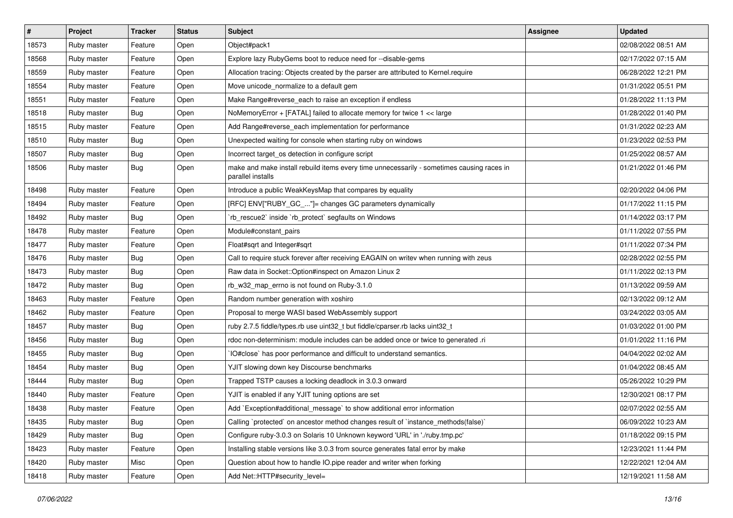| #     | Project     | Tracker    | <b>Status</b> | Subject                                                                                                        | <b>Assignee</b> | <b>Updated</b>      |
|-------|-------------|------------|---------------|----------------------------------------------------------------------------------------------------------------|-----------------|---------------------|
| 18573 | Ruby master | Feature    | Open          | Object#pack1                                                                                                   |                 | 02/08/2022 08:51 AM |
| 18568 | Ruby master | Feature    | Open          | Explore lazy RubyGems boot to reduce need for --disable-gems                                                   |                 | 02/17/2022 07:15 AM |
| 18559 | Ruby master | Feature    | Open          | Allocation tracing: Objects created by the parser are attributed to Kernel.require                             |                 | 06/28/2022 12:21 PM |
| 18554 | Ruby master | Feature    | Open          | Move unicode_normalize to a default gem                                                                        |                 | 01/31/2022 05:51 PM |
| 18551 | Ruby master | Feature    | Open          | Make Range#reverse_each to raise an exception if endless                                                       |                 | 01/28/2022 11:13 PM |
| 18518 | Ruby master | Bug        | Open          | NoMemoryError + [FATAL] failed to allocate memory for twice 1 << large                                         |                 | 01/28/2022 01:40 PM |
| 18515 | Ruby master | Feature    | Open          | Add Range#reverse_each implementation for performance                                                          |                 | 01/31/2022 02:23 AM |
| 18510 | Ruby master | Bug        | Open          | Unexpected waiting for console when starting ruby on windows                                                   |                 | 01/23/2022 02:53 PM |
| 18507 | Ruby master | Bug        | Open          | Incorrect target_os detection in configure script                                                              |                 | 01/25/2022 08:57 AM |
| 18506 | Ruby master | Bug        | Open          | make and make install rebuild items every time unnecessarily - sometimes causing races in<br>parallel installs |                 | 01/21/2022 01:46 PM |
| 18498 | Ruby master | Feature    | Open          | Introduce a public WeakKeysMap that compares by equality                                                       |                 | 02/20/2022 04:06 PM |
| 18494 | Ruby master | Feature    | Open          | [RFC] ENV["RUBY_GC_"]= changes GC parameters dynamically                                                       |                 | 01/17/2022 11:15 PM |
| 18492 | Ruby master | Bug        | Open          | 'rb_rescue2' inside 'rb_protect' segfaults on Windows                                                          |                 | 01/14/2022 03:17 PM |
| 18478 | Ruby master | Feature    | Open          | Module#constant pairs                                                                                          |                 | 01/11/2022 07:55 PM |
| 18477 | Ruby master | Feature    | Open          | Float#sqrt and Integer#sqrt                                                                                    |                 | 01/11/2022 07:34 PM |
| 18476 | Ruby master | Bug        | Open          | Call to require stuck forever after receiving EAGAIN on writev when running with zeus                          |                 | 02/28/2022 02:55 PM |
| 18473 | Ruby master | Bug        | Open          | Raw data in Socket:: Option#inspect on Amazon Linux 2                                                          |                 | 01/11/2022 02:13 PM |
| 18472 | Ruby master | Bug        | Open          | rb_w32_map_errno is not found on Ruby-3.1.0                                                                    |                 | 01/13/2022 09:59 AM |
| 18463 | Ruby master | Feature    | Open          | Random number generation with xoshiro                                                                          |                 | 02/13/2022 09:12 AM |
| 18462 | Ruby master | Feature    | Open          | Proposal to merge WASI based WebAssembly support                                                               |                 | 03/24/2022 03:05 AM |
| 18457 | Ruby master | Bug        | Open          | ruby 2.7.5 fiddle/types.rb use uint32_t but fiddle/cparser.rb lacks uint32_t                                   |                 | 01/03/2022 01:00 PM |
| 18456 | Ruby master | Bug        | Open          | rdoc non-determinism: module includes can be added once or twice to generated .ri                              |                 | 01/01/2022 11:16 PM |
| 18455 | Ruby master | Bug        | Open          | IO#close` has poor performance and difficult to understand semantics.                                          |                 | 04/04/2022 02:02 AM |
| 18454 | Ruby master | Bug        | Open          | YJIT slowing down key Discourse benchmarks                                                                     |                 | 01/04/2022 08:45 AM |
| 18444 | Ruby master | Bug        | Open          | Trapped TSTP causes a locking deadlock in 3.0.3 onward                                                         |                 | 05/26/2022 10:29 PM |
| 18440 | Ruby master | Feature    | Open          | YJIT is enabled if any YJIT tuning options are set                                                             |                 | 12/30/2021 08:17 PM |
| 18438 | Ruby master | Feature    | Open          | Add `Exception#additional_message` to show additional error information                                        |                 | 02/07/2022 02:55 AM |
| 18435 | Ruby master | <b>Bug</b> | Open          | Calling `protected` on ancestor method changes result of `instance_methods(false)`                             |                 | 06/09/2022 10:23 AM |
| 18429 | Ruby master | <b>Bug</b> | Open          | Configure ruby-3.0.3 on Solaris 10 Unknown keyword 'URL' in './ruby.tmp.pc'                                    |                 | 01/18/2022 09:15 PM |
| 18423 | Ruby master | Feature    | Open          | Installing stable versions like 3.0.3 from source generates fatal error by make                                |                 | 12/23/2021 11:44 PM |
| 18420 | Ruby master | Misc       | Open          | Question about how to handle IO.pipe reader and writer when forking                                            |                 | 12/22/2021 12:04 AM |
| 18418 | Ruby master | Feature    | Open          | Add Net::HTTP#security_level=                                                                                  |                 | 12/19/2021 11:58 AM |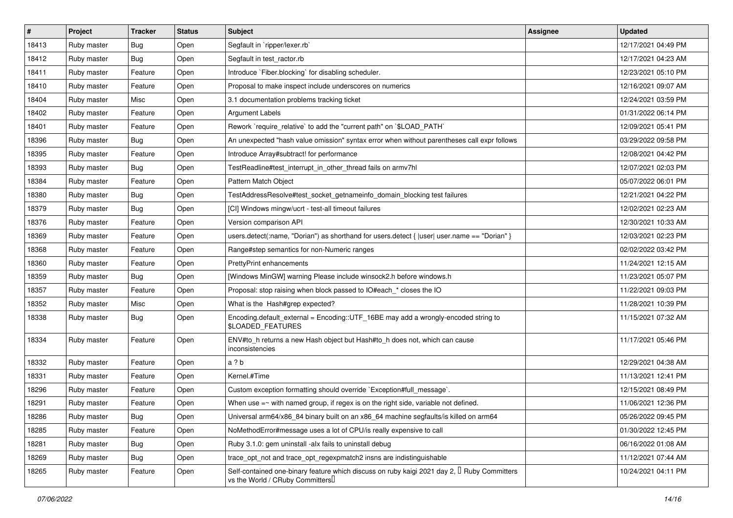| $\vert$ # | Project     | Tracker    | <b>Status</b> | Subject                                                                                                                                    | <b>Assignee</b> | <b>Updated</b>      |
|-----------|-------------|------------|---------------|--------------------------------------------------------------------------------------------------------------------------------------------|-----------------|---------------------|
| 18413     | Ruby master | Bug        | Open          | Segfault in `ripper/lexer.rb`                                                                                                              |                 | 12/17/2021 04:49 PM |
| 18412     | Ruby master | Bug        | Open          | Segfault in test ractor.rb                                                                                                                 |                 | 12/17/2021 04:23 AM |
| 18411     | Ruby master | Feature    | Open          | Introduce `Fiber.blocking` for disabling scheduler.                                                                                        |                 | 12/23/2021 05:10 PM |
| 18410     | Ruby master | Feature    | Open          | Proposal to make inspect include underscores on numerics                                                                                   |                 | 12/16/2021 09:07 AM |
| 18404     | Ruby master | Misc       | Open          | 3.1 documentation problems tracking ticket                                                                                                 |                 | 12/24/2021 03:59 PM |
| 18402     | Ruby master | Feature    | Open          | <b>Argument Labels</b>                                                                                                                     |                 | 01/31/2022 06:14 PM |
| 18401     | Ruby master | Feature    | Open          | Rework `require_relative` to add the "current path" on `\$LOAD_PATH`                                                                       |                 | 12/09/2021 05:41 PM |
| 18396     | Ruby master | Bug        | Open          | An unexpected "hash value omission" syntax error when without parentheses call expr follows                                                |                 | 03/29/2022 09:58 PM |
| 18395     | Ruby master | Feature    | Open          | Introduce Array#subtract! for performance                                                                                                  |                 | 12/08/2021 04:42 PM |
| 18393     | Ruby master | Bug        | Open          | TestReadline#test_interrupt_in_other_thread fails on armv7hl                                                                               |                 | 12/07/2021 02:03 PM |
| 18384     | Ruby master | Feature    | Open          | Pattern Match Object                                                                                                                       |                 | 05/07/2022 06:01 PM |
| 18380     | Ruby master | Bug        | Open          | TestAddressResolve#test_socket_getnameinfo_domain_blocking test failures                                                                   |                 | 12/21/2021 04:22 PM |
| 18379     | Ruby master | Bug        | Open          | [CI] Windows mingw/ucrt - test-all timeout failures                                                                                        |                 | 12/02/2021 02:23 AM |
| 18376     | Ruby master | Feature    | Open          | Version comparison API                                                                                                                     |                 | 12/30/2021 10:33 AM |
| 18369     | Ruby master | Feature    | Open          | users.detect(:name, "Dorian") as shorthand for users.detect {  user  user.name == "Dorian" }                                               |                 | 12/03/2021 02:23 PM |
| 18368     | Ruby master | Feature    | Open          | Range#step semantics for non-Numeric ranges                                                                                                |                 | 02/02/2022 03:42 PM |
| 18360     | Ruby master | Feature    | Open          | PrettyPrint enhancements                                                                                                                   |                 | 11/24/2021 12:15 AM |
| 18359     | Ruby master | Bug        | Open          | [Windows MinGW] warning Please include winsock2.h before windows.h                                                                         |                 | 11/23/2021 05:07 PM |
| 18357     | Ruby master | Feature    | Open          | Proposal: stop raising when block passed to IO#each_* closes the IO                                                                        |                 | 11/22/2021 09:03 PM |
| 18352     | Ruby master | Misc       | Open          | What is the Hash#grep expected?                                                                                                            |                 | 11/28/2021 10:39 PM |
| 18338     | Ruby master | Bug        | Open          | Encoding.default_external = Encoding::UTF_16BE may add a wrongly-encoded string to<br><b>\$LOADED FEATURES</b>                             |                 | 11/15/2021 07:32 AM |
| 18334     | Ruby master | Feature    | Open          | ENV#to_h returns a new Hash object but Hash#to_h does not, which can cause<br>inconsistencies                                              |                 | 11/17/2021 05:46 PM |
| 18332     | Ruby master | Feature    | Open          | a ? b                                                                                                                                      |                 | 12/29/2021 04:38 AM |
| 18331     | Ruby master | Feature    | Open          | Kernel.#Time                                                                                                                               |                 | 11/13/2021 12:41 PM |
| 18296     | Ruby master | Feature    | Open          | Custom exception formatting should override `Exception#full_message`.                                                                      |                 | 12/15/2021 08:49 PM |
| 18291     | Ruby master | Feature    | Open          | When use $=\sim$ with named group, if regex is on the right side, variable not defined.                                                    |                 | 11/06/2021 12:36 PM |
| 18286     | Ruby master | Bug        | Open          | Universal arm64/x86_84 binary built on an x86_64 machine segfaults/is killed on arm64                                                      |                 | 05/26/2022 09:45 PM |
| 18285     | Ruby master | Feature    | Open          | NoMethodError#message uses a lot of CPU/is really expensive to call                                                                        |                 | 01/30/2022 12:45 PM |
| 18281     | Ruby master | <b>Bug</b> | Open          | Ruby 3.1.0: gem uninstall -alx fails to uninstall debug                                                                                    |                 | 06/16/2022 01:08 AM |
| 18269     | Ruby master | <b>Bug</b> | Open          | trace_opt_not and trace_opt_regexpmatch2 insns are indistinguishable                                                                       |                 | 11/12/2021 07:44 AM |
| 18265     | Ruby master | Feature    | Open          | Self-contained one-binary feature which discuss on ruby kaigi 2021 day 2, <sup>[]</sup> Ruby Committers<br>vs the World / CRuby Committers |                 | 10/24/2021 04:11 PM |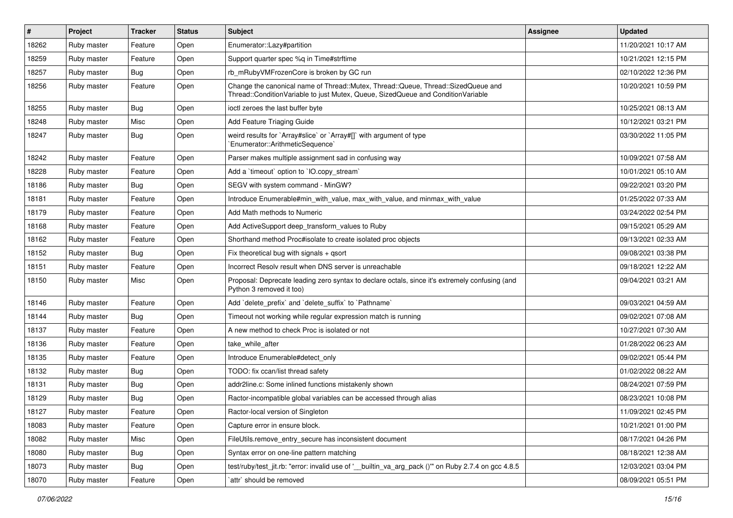| $\sharp$ | Project     | <b>Tracker</b> | <b>Status</b> | Subject                                                                                                                                                               | <b>Assignee</b> | <b>Updated</b>      |
|----------|-------------|----------------|---------------|-----------------------------------------------------------------------------------------------------------------------------------------------------------------------|-----------------|---------------------|
| 18262    | Ruby master | Feature        | Open          | Enumerator::Lazy#partition                                                                                                                                            |                 | 11/20/2021 10:17 AM |
| 18259    | Ruby master | Feature        | Open          | Support quarter spec %q in Time#strftime                                                                                                                              |                 | 10/21/2021 12:15 PM |
| 18257    | Ruby master | Bug            | Open          | rb_mRubyVMFrozenCore is broken by GC run                                                                                                                              |                 | 02/10/2022 12:36 PM |
| 18256    | Ruby master | Feature        | Open          | Change the canonical name of Thread::Mutex, Thread::Queue, Thread::SizedQueue and<br>Thread::ConditionVariable to just Mutex, Queue, SizedQueue and ConditionVariable |                 | 10/20/2021 10:59 PM |
| 18255    | Ruby master | Bug            | Open          | ioctl zeroes the last buffer byte                                                                                                                                     |                 | 10/25/2021 08:13 AM |
| 18248    | Ruby master | Misc           | Open          | Add Feature Triaging Guide                                                                                                                                            |                 | 10/12/2021 03:21 PM |
| 18247    | Ruby master | Bug            | Open          | weird results for `Array#slice` or `Array#[]` with argument of type<br>`Enumerator::ArithmeticSequence`                                                               |                 | 03/30/2022 11:05 PM |
| 18242    | Ruby master | Feature        | Open          | Parser makes multiple assignment sad in confusing way                                                                                                                 |                 | 10/09/2021 07:58 AM |
| 18228    | Ruby master | Feature        | Open          | Add a 'timeout' option to 'IO.copy_stream'                                                                                                                            |                 | 10/01/2021 05:10 AM |
| 18186    | Ruby master | Bug            | Open          | SEGV with system command - MinGW?                                                                                                                                     |                 | 09/22/2021 03:20 PM |
| 18181    | Ruby master | Feature        | Open          | Introduce Enumerable#min_with_value, max_with_value, and minmax_with_value                                                                                            |                 | 01/25/2022 07:33 AM |
| 18179    | Ruby master | Feature        | Open          | Add Math methods to Numeric                                                                                                                                           |                 | 03/24/2022 02:54 PM |
| 18168    | Ruby master | Feature        | Open          | Add ActiveSupport deep_transform_values to Ruby                                                                                                                       |                 | 09/15/2021 05:29 AM |
| 18162    | Ruby master | Feature        | Open          | Shorthand method Proc#isolate to create isolated proc objects                                                                                                         |                 | 09/13/2021 02:33 AM |
| 18152    | Ruby master | Bug            | Open          | Fix theoretical bug with signals + qsort                                                                                                                              |                 | 09/08/2021 03:38 PM |
| 18151    | Ruby master | Feature        | Open          | Incorrect Resolv result when DNS server is unreachable                                                                                                                |                 | 09/18/2021 12:22 AM |
| 18150    | Ruby master | Misc           | Open          | Proposal: Deprecate leading zero syntax to declare octals, since it's extremely confusing (and<br>Python 3 removed it too)                                            |                 | 09/04/2021 03:21 AM |
| 18146    | Ruby master | Feature        | Open          | Add 'delete_prefix' and 'delete_suffix' to 'Pathname'                                                                                                                 |                 | 09/03/2021 04:59 AM |
| 18144    | Ruby master | Bug            | Open          | Timeout not working while regular expression match is running                                                                                                         |                 | 09/02/2021 07:08 AM |
| 18137    | Ruby master | Feature        | Open          | A new method to check Proc is isolated or not                                                                                                                         |                 | 10/27/2021 07:30 AM |
| 18136    | Ruby master | Feature        | Open          | take_while_after                                                                                                                                                      |                 | 01/28/2022 06:23 AM |
| 18135    | Ruby master | Feature        | Open          | Introduce Enumerable#detect_only                                                                                                                                      |                 | 09/02/2021 05:44 PM |
| 18132    | Ruby master | Bug            | Open          | TODO: fix ccan/list thread safety                                                                                                                                     |                 | 01/02/2022 08:22 AM |
| 18131    | Ruby master | Bug            | Open          | addr2line.c: Some inlined functions mistakenly shown                                                                                                                  |                 | 08/24/2021 07:59 PM |
| 18129    | Ruby master | Bug            | Open          | Ractor-incompatible global variables can be accessed through alias                                                                                                    |                 | 08/23/2021 10:08 PM |
| 18127    | Ruby master | Feature        | Open          | Ractor-local version of Singleton                                                                                                                                     |                 | 11/09/2021 02:45 PM |
| 18083    | Ruby master | Feature        | Open          | Capture error in ensure block.                                                                                                                                        |                 | 10/21/2021 01:00 PM |
| 18082    | Ruby master | Misc           | Open          | FileUtils.remove_entry_secure has inconsistent document                                                                                                               |                 | 08/17/2021 04:26 PM |
| 18080    | Ruby master | Bug            | Open          | Syntax error on one-line pattern matching                                                                                                                             |                 | 08/18/2021 12:38 AM |
| 18073    | Ruby master | Bug            | Open          | test/ruby/test_jit.rb: "error: invalid use of '__builtin_va_arg_pack ()"' on Ruby 2.7.4 on gcc 4.8.5                                                                  |                 | 12/03/2021 03:04 PM |
| 18070    | Ruby master | Feature        | Open          | `attr` should be removed                                                                                                                                              |                 | 08/09/2021 05:51 PM |